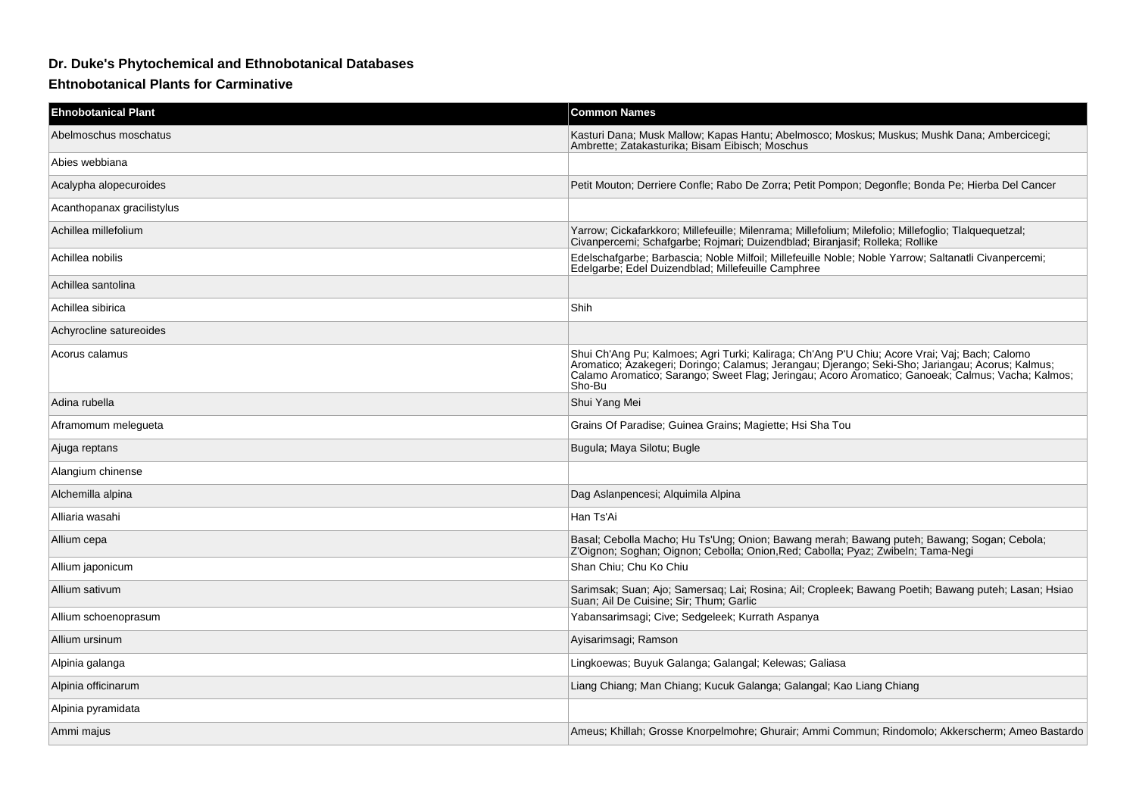## **Dr. Duke's Phytochemical and Ethnobotanical Databases**

## **Ehtnobotanical Plants for Carminative**

| <b>Ehnobotanical Plant</b> | <b>Common Names</b>                                                                                                                                                                                                                                                                                              |
|----------------------------|------------------------------------------------------------------------------------------------------------------------------------------------------------------------------------------------------------------------------------------------------------------------------------------------------------------|
| Abelmoschus moschatus      | Kasturi Dana; Musk Mallow; Kapas Hantu; Abelmosco; Moskus; Muskus; Mushk Dana; Ambercicegi;<br>Ambrette; Zatakasturika; Bisam Eibisch; Moschus                                                                                                                                                                   |
| Abies webbiana             |                                                                                                                                                                                                                                                                                                                  |
| Acalypha alopecuroides     | Petit Mouton; Derriere Confle; Rabo De Zorra; Petit Pompon; Degonfle; Bonda Pe; Hierba Del Cancer                                                                                                                                                                                                                |
| Acanthopanax gracilistylus |                                                                                                                                                                                                                                                                                                                  |
| Achillea millefolium       | Yarrow; Cickafarkkoro; Millefeuille; Milenrama; Millefolium; Milefolio; Millefoglio; Tlalquequetzal;<br>Civanpercemi; Schafgarbe; Rojmari; Duizendblad; Biranjasif; Rolleka; Rollike                                                                                                                             |
| Achillea nobilis           | Edelschafgarbe; Barbascia; Noble Milfoil; Millefeuille Noble; Noble Yarrow; Saltanatli Civanpercemi;<br>Edelgarbe, Edel Duizendblad, Millefeuille Camphree                                                                                                                                                       |
| Achillea santolina         |                                                                                                                                                                                                                                                                                                                  |
| Achillea sibirica          | Shih                                                                                                                                                                                                                                                                                                             |
| Achyrocline satureoides    |                                                                                                                                                                                                                                                                                                                  |
| Acorus calamus             | Shui Ch'Ang Pu; Kalmoes; Agri Turki; Kaliraga; Ch'Ang P'U Chiu; Acore Vrai; Vaj; Bach; Calomo<br>Anomatico; Azakegeri; Doringo; Calamus; Jerangau; Djerango; Seki-Sho; Jariangau; Acorus; Kalmus;<br>Calamo Aromatico; Sarango; Sweet Flag; Jeringau; Acoro Aromatico; Ganoeak; Calmus; Vacha; Kalmus;<br>Sho-Bu |
| Adina rubella              | Shui Yang Mei                                                                                                                                                                                                                                                                                                    |
| Aframomum melegueta        | Grains Of Paradise; Guinea Grains; Magiette; Hsi Sha Tou                                                                                                                                                                                                                                                         |
| Ajuga reptans              | Bugula; Maya Silotu; Bugle                                                                                                                                                                                                                                                                                       |
| Alangium chinense          |                                                                                                                                                                                                                                                                                                                  |
| Alchemilla alpina          | Dag Aslanpencesi; Alquimila Alpina                                                                                                                                                                                                                                                                               |
| Alliaria wasahi            | Han Ts'Ai                                                                                                                                                                                                                                                                                                        |
| Allium cepa                | Basal; Cebolla Macho; Hu Ts'Ung; Onion; Bawang merah; Bawang puteh; Bawang; Sogan; Cebola;<br>Z'Oignon; Soghan; Oignon; Cebolla; Onion, Red; Cabolla; Pyaz; Zwibeln; Tama-Negi                                                                                                                                   |
| Allium japonicum           | Shan Chiu; Chu Ko Chiu                                                                                                                                                                                                                                                                                           |
| Allium sativum             | Sarimsak; Suan; Ajo; Samersag; Lai; Rosina; Ail; Cropleek; Bawang Poetih; Bawang puteh; Lasan; Hsiao<br>Suan; Ail De Cuisine; Sir; Thum; Garlic                                                                                                                                                                  |
| Allium schoenoprasum       | Yabansarimsagi; Cive; Sedgeleek; Kurrath Aspanya                                                                                                                                                                                                                                                                 |
| Allium ursinum             | Ayisarimsagi; Ramson                                                                                                                                                                                                                                                                                             |
| Alpinia galanga            | Lingkoewas; Buyuk Galanga; Galangal; Kelewas; Galiasa                                                                                                                                                                                                                                                            |
| Alpinia officinarum        | Liang Chiang; Man Chiang; Kucuk Galanga; Galangal; Kao Liang Chiang                                                                                                                                                                                                                                              |
| Alpinia pyramidata         |                                                                                                                                                                                                                                                                                                                  |
| Ammi majus                 | Ameus; Khillah; Grosse Knorpelmohre; Ghurair; Ammi Commun; Rindomolo; Akkerscherm; Ameo Bastardo                                                                                                                                                                                                                 |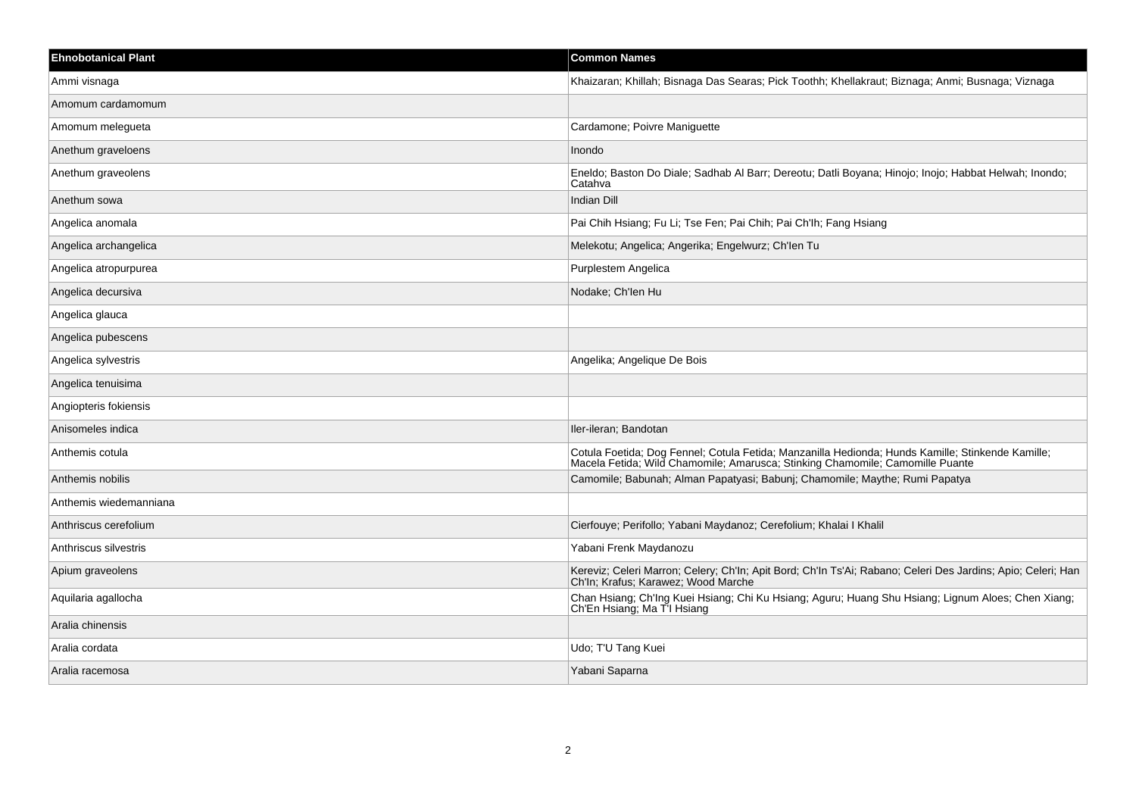| <b>Ehnobotanical Plant</b> | <b>Common Names</b>                                                                                                                                                                |
|----------------------------|------------------------------------------------------------------------------------------------------------------------------------------------------------------------------------|
| Ammi visnaga               | Khaizaran; Khillah; Bisnaga Das Searas; Pick Toothh; Khellakraut; Biznaga; Anmi; Busnaga; Viznaga                                                                                  |
| Amomum cardamomum          |                                                                                                                                                                                    |
| Amomum melegueta           | Cardamone; Poivre Maniguette                                                                                                                                                       |
| Anethum graveloens         | Inondo                                                                                                                                                                             |
| Anethum graveolens         | Eneldo; Baston Do Diale; Sadhab Al Barr; Dereotu; Datli Boyana; Hinojo; Inojo; Habbat Helwah; Inondo;<br>Catahva                                                                   |
| Anethum sowa               | Indian Dill                                                                                                                                                                        |
| Angelica anomala           | Pai Chih Hsiang; Fu Li; Tse Fen; Pai Chih; Pai Ch'lh; Fang Hsiang                                                                                                                  |
| Angelica archangelica      | Melekotu; Angelica; Angerika; Engelwurz; Ch'len Tu                                                                                                                                 |
| Angelica atropurpurea      | Purplestem Angelica                                                                                                                                                                |
| Angelica decursiva         | Nodake; Ch'len Hu                                                                                                                                                                  |
| Angelica glauca            |                                                                                                                                                                                    |
| Angelica pubescens         |                                                                                                                                                                                    |
| Angelica sylvestris        | Angelika; Angelique De Bois                                                                                                                                                        |
| Angelica tenuisima         |                                                                                                                                                                                    |
| Angiopteris fokiensis      |                                                                                                                                                                                    |
| Anisomeles indica          | Iler-ileran; Bandotan                                                                                                                                                              |
| Anthemis cotula            | Cotula Foetida; Dog Fennel; Cotula Fetida; Manzanilla Hedionda; Hunds Kamille; Stinkende Kamille;<br>Macela Fetida; Wild Chamomile; Amarusca; Stinking Chamomile; Camomille Puante |
| Anthemis nobilis           | Camomile; Babunah; Alman Papatyasi; Babunj; Chamomile; Maythe; Rumi Papatya                                                                                                        |
| Anthemis wiedemanniana     |                                                                                                                                                                                    |
| Anthriscus cerefolium      | Cierfouye; Perifollo; Yabani Maydanoz; Cerefolium; Khalai I Khalil                                                                                                                 |
| Anthriscus silvestris      | Yabani Frenk Maydanozu                                                                                                                                                             |
| Apium graveolens           | Kereviz; Celeri Marron; Celery; Ch'In; Apit Bord; Ch'In Ts'Ai; Rabano; Celeri Des Jardins; Apio; Celeri; Han<br>Ch'In; Krafus; Karawez; Wood Marche                                |
| Aquilaria agallocha        | Chan Hsiang; Ch'Ing Kuei Hsiang; Chi Ku Hsiang; Aguru; Huang Shu Hsiang; Lignum Aloes; Chen Xiang;<br>Ch'En Hsiang; Ma T'I Hsiang                                                  |
| Aralia chinensis           |                                                                                                                                                                                    |
| Aralia cordata             | Udo; T'U Tang Kuei                                                                                                                                                                 |
| Aralia racemosa            | Yabani Saparna                                                                                                                                                                     |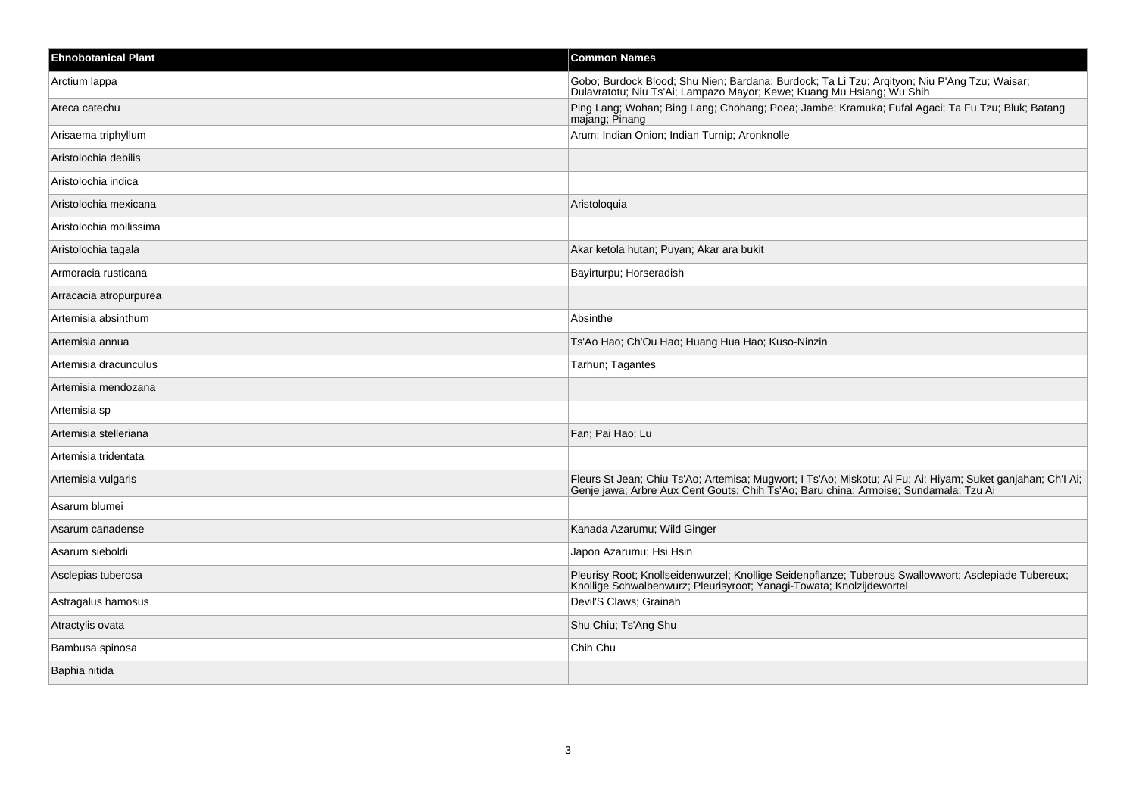| <b>Ehnobotanical Plant</b> | <b>Common Names</b>                                                                                                                                                                                 |
|----------------------------|-----------------------------------------------------------------------------------------------------------------------------------------------------------------------------------------------------|
| Arctium lappa              | Gobo; Burdock Blood; Shu Nien; Bardana; Burdock; Ta Li Tzu; Arqityon; Niu P'Ang Tzu; Waisar;<br>Dulavratotu; Niu Ts'Ai; Lampazo Mayor; Kewe; Kuang Mu Hsiang; Wu Shih                               |
| Areca catechu              | Ping Lang; Wohan; Bing Lang; Chohang; Poea; Jambe; Kramuka; Fufal Agaci; Ta Fu Tzu; Bluk; Batang<br>majang; Pinang                                                                                  |
| Arisaema triphyllum        | Arum; Indian Onion; Indian Turnip; Aronknolle                                                                                                                                                       |
| Aristolochia debilis       |                                                                                                                                                                                                     |
| Aristolochia indica        |                                                                                                                                                                                                     |
| Aristolochia mexicana      | Aristologuia                                                                                                                                                                                        |
| Aristolochia mollissima    |                                                                                                                                                                                                     |
| Aristolochia tagala        | Akar ketola hutan; Puyan; Akar ara bukit                                                                                                                                                            |
| Armoracia rusticana        | Bayirturpu; Horseradish                                                                                                                                                                             |
| Arracacia atropurpurea     |                                                                                                                                                                                                     |
| Artemisia absinthum        | Absinthe                                                                                                                                                                                            |
| Artemisia annua            | Ts'Ao Hao; Ch'Ou Hao; Huang Hua Hao; Kuso-Ninzin                                                                                                                                                    |
| Artemisia dracunculus      | Tarhun; Tagantes                                                                                                                                                                                    |
| Artemisia mendozana        |                                                                                                                                                                                                     |
| Artemisia sp               |                                                                                                                                                                                                     |
| Artemisia stelleriana      | Fan; Pai Hao; Lu                                                                                                                                                                                    |
| Artemisia tridentata       |                                                                                                                                                                                                     |
| Artemisia vulgaris         | Fleurs St Jean; Chiu Ts'Ao; Artemisa; Mugwort; I Ts'Ao; Miskotu; Ai Fu; Ai; Hiyam; Suket ganjahan; Ch'l Ai;<br>Genje jawa; Arbre Aux Cent Gouts; Chih Ts'Ao; Baru china; Armoise; Sundamala; Tzu Ai |
| Asarum blumei              |                                                                                                                                                                                                     |
| Asarum canadense           | Kanada Azarumu; Wild Ginger                                                                                                                                                                         |
| Asarum sieboldi            | Japon Azarumu; Hsi Hsin                                                                                                                                                                             |
| Asclepias tuberosa         | Pleurisy Root; Knollseidenwurzel; Knollige Seidenpflanze; Tuberous Swallowwort; Asclepiade Tubereux;<br>Knollige Schwalbenwurz; Pleurisyroot; Yanagi-Towata; Knolzijdewortel                        |
| Astragalus hamosus         | Devil'S Claws; Grainah                                                                                                                                                                              |
| Atractylis ovata           | Shu Chiu; Ts'Ang Shu                                                                                                                                                                                |
| Bambusa spinosa            | Chih Chu                                                                                                                                                                                            |
| Baphia nitida              |                                                                                                                                                                                                     |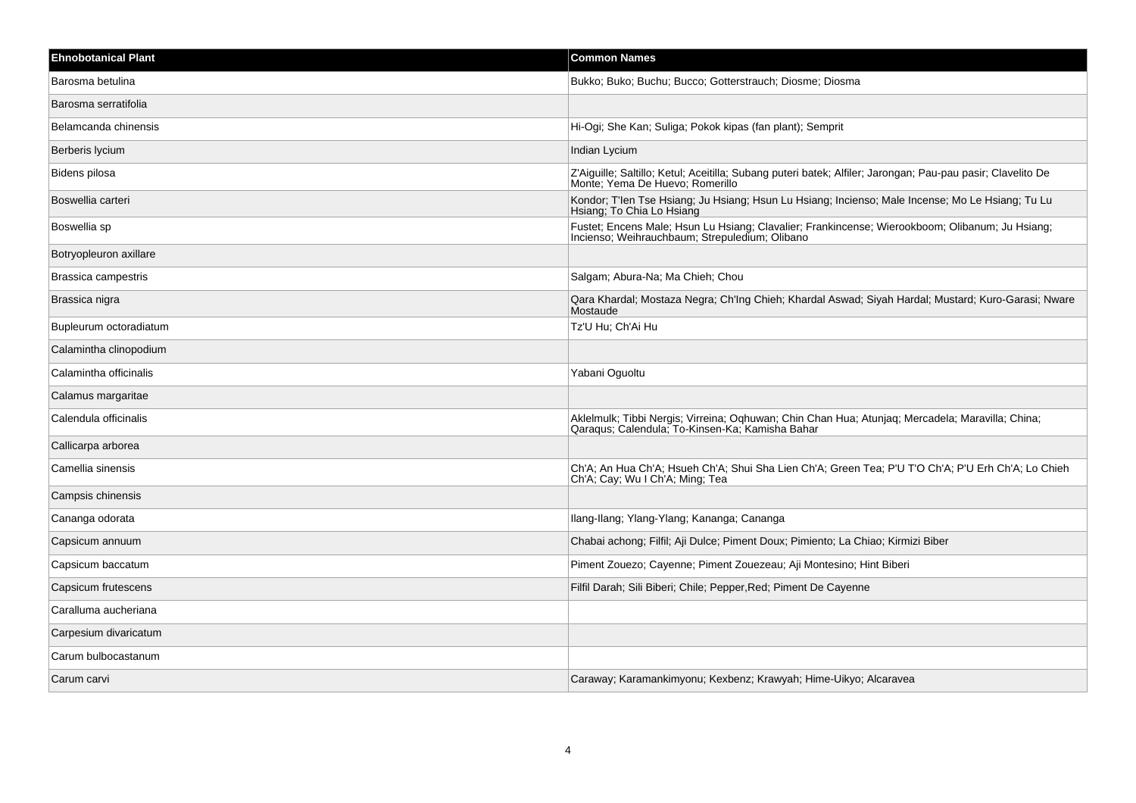| <b>Ehnobotanical Plant</b> | <b>Common Names</b>                                                                                                                                 |
|----------------------------|-----------------------------------------------------------------------------------------------------------------------------------------------------|
| Barosma betulina           | Bukko; Buko; Buchu; Bucco; Gotterstrauch; Diosme; Diosma                                                                                            |
| Barosma serratifolia       |                                                                                                                                                     |
| Belamcanda chinensis       | Hi-Ogi; She Kan; Suliga; Pokok kipas (fan plant); Semprit                                                                                           |
| Berberis lycium            | Indian Lycium                                                                                                                                       |
| Bidens pilosa              | Z'Aiguille; Saltillo; Ketul; Aceitilla; Subang puteri batek; Alfiler; Jarongan; Pau-pau pasir; Clavelito De<br>Monte; Yema De Huevo; Romerillo      |
| Boswellia carteri          | Kondor; T'len Tse Hsiang; Ju Hsiang; Hsun Lu Hsiang; Incienso; Male Incense; Mo Le Hsiang; Tu Lu<br>Hsiang; To Chia Lo Hsiang                       |
| Boswellia sp               | Fustet; Encens Male; Hsun Lu Hsiang; Clavalier; Frankincense; Wierookboom; Olibanum; Ju Hsiang; Incienso; Weihrauchbaum; Strepuledium; Olibano      |
| Botryopleuron axillare     |                                                                                                                                                     |
| Brassica campestris        | Salgam; Abura-Na; Ma Chieh; Chou                                                                                                                    |
| Brassica nigra             | Qara Khardal; Mostaza Negra; Ch'Ing Chieh; Khardal Aswad; Siyah Hardal; Mustard; Kuro-Garasi; Nware<br>Mostaude                                     |
| Bupleurum octoradiatum     | Tz'U Hu; Ch'Ai Hu                                                                                                                                   |
| Calamintha clinopodium     |                                                                                                                                                     |
| Calamintha officinalis     | Yabani Oguoltu                                                                                                                                      |
| Calamus margaritae         |                                                                                                                                                     |
| Calendula officinalis      | Aklelmulk; Tibbi Nergis; Virreina; Oqhuwan; Chin Chan Hua; Atunjaq; Mercadela; Maravilla; China;<br>Qaraqus; Calendula; To-Kinsen-Ka; Kamisha Bahar |
| Callicarpa arborea         |                                                                                                                                                     |
| Camellia sinensis          | Ch'A; An Hua Ch'A; Hsueh Ch'A; Shui Sha Lien Ch'A; Green Tea; P'U T'O Ch'A; P'U Erh Ch'A; Lo Chieh<br>Ch'A; Cay; Wu I Ch'A; Ming; Tea               |
| Campsis chinensis          |                                                                                                                                                     |
| Cananga odorata            | Ilang-Ilang; Ylang-Ylang; Kananga; Cananga                                                                                                          |
| Capsicum annuum            | Chabai achong; Filfil; Aji Dulce; Piment Doux; Pimiento; La Chiao; Kirmizi Biber                                                                    |
| Capsicum baccatum          | Piment Zouezo; Cayenne; Piment Zouezeau; Aji Montesino; Hint Biberi                                                                                 |
| Capsicum frutescens        | Filfil Darah; Sili Biberi; Chile; Pepper, Red; Piment De Cayenne                                                                                    |
| Caralluma aucheriana       |                                                                                                                                                     |
| Carpesium divaricatum      |                                                                                                                                                     |
| Carum bulbocastanum        |                                                                                                                                                     |
| Carum carvi                | Caraway; Karamankimyonu; Kexbenz; Krawyah; Hime-Uikyo; Alcaravea                                                                                    |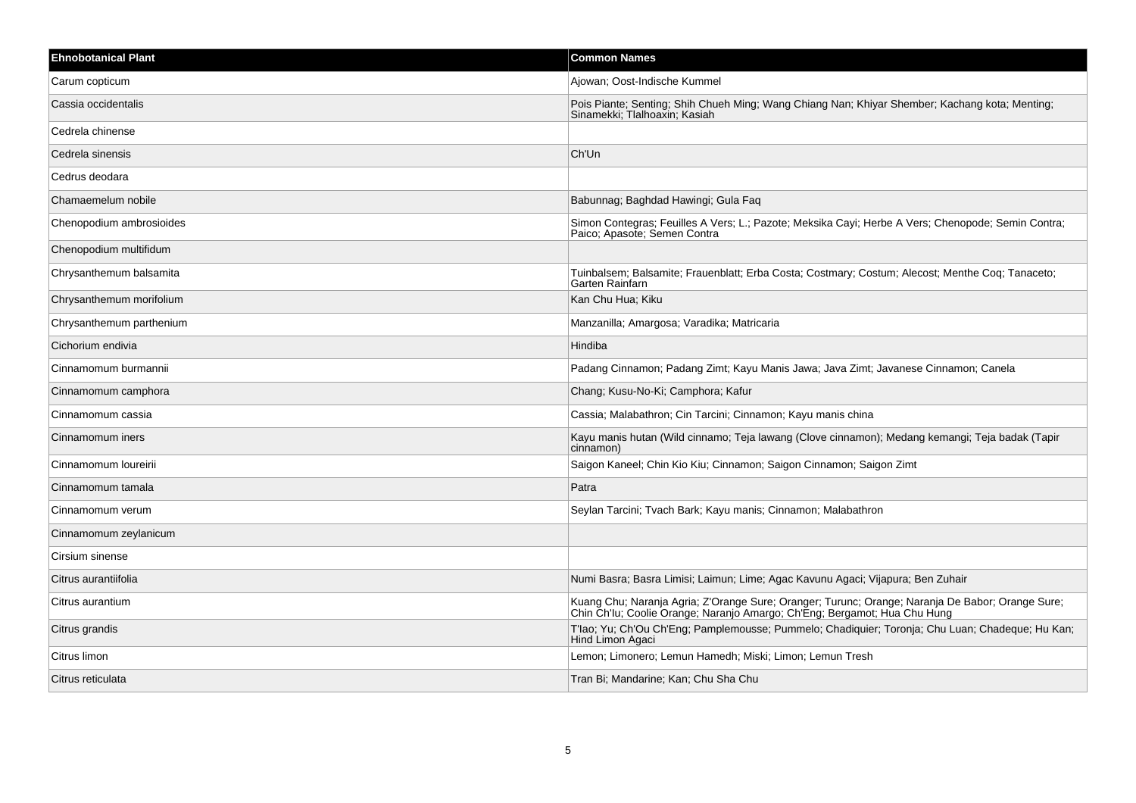| <b>Ehnobotanical Plant</b> | <b>Common Names</b>                                                                                                                                                           |
|----------------------------|-------------------------------------------------------------------------------------------------------------------------------------------------------------------------------|
| Carum copticum             | Ajowan; Oost-Indische Kummel                                                                                                                                                  |
| Cassia occidentalis        | Pois Piante; Senting; Shih Chueh Ming; Wang Chiang Nan; Khiyar Shember; Kachang kota; Menting;<br>Sinamekki; Tlalhoaxin; Kasiah                                               |
| Cedrela chinense           |                                                                                                                                                                               |
| Cedrela sinensis           | Ch'Un                                                                                                                                                                         |
| Cedrus deodara             |                                                                                                                                                                               |
| Chamaemelum nobile         | Babunnag; Baghdad Hawingi; Gula Faq                                                                                                                                           |
| Chenopodium ambrosioides   | Simon Contegras; Feuilles A Vers; L.; Pazote; Meksika Cayi; Herbe A Vers; Chenopode; Semin Contra;<br>Paico; Apasote; Semen Contra                                            |
| Chenopodium multifidum     |                                                                                                                                                                               |
| Chrysanthemum balsamita    | Tuinbalsem; Balsamite; Frauenblatt; Erba Costa; Costmary; Costum; Alecost; Menthe Coq; Tanaceto;<br>Garten Rainfarn                                                           |
| Chrysanthemum morifolium   | Kan Chu Hua; Kiku                                                                                                                                                             |
| Chrysanthemum parthenium   | Manzanilla; Amargosa; Varadika; Matricaria                                                                                                                                    |
| Cichorium endivia          | Hindiba                                                                                                                                                                       |
| Cinnamomum burmannii       | Padang Cinnamon; Padang Zimt; Kayu Manis Jawa; Java Zimt; Javanese Cinnamon; Canela                                                                                           |
| Cinnamomum camphora        | Chang; Kusu-No-Ki; Camphora; Kafur                                                                                                                                            |
| Cinnamomum cassia          | Cassia; Malabathron; Cin Tarcini; Cinnamon; Kayu manis china                                                                                                                  |
| Cinnamomum iners           | Kayu manis hutan (Wild cinnamo; Teja lawang (Clove cinnamon); Medang kemangi; Teja badak (Tapir<br>cinnamon)                                                                  |
| Cinnamomum loureirii       | Saigon Kaneel; Chin Kio Kiu; Cinnamon; Saigon Cinnamon; Saigon Zimt                                                                                                           |
| Cinnamomum tamala          | Patra                                                                                                                                                                         |
| Cinnamomum verum           | Seylan Tarcini; Tvach Bark; Kayu manis; Cinnamon; Malabathron                                                                                                                 |
| Cinnamomum zeylanicum      |                                                                                                                                                                               |
| Cirsium sinense            |                                                                                                                                                                               |
| Citrus aurantiifolia       | Numi Basra; Basra Limisi; Laimun; Lime; Agac Kavunu Agaci; Vijapura; Ben Zuhair                                                                                               |
| Citrus aurantium           | Kuang Chu; Naranja Agria; Z'Orange Sure; Oranger; Turunc; Orange; Naranja De Babor; Orange Sure;<br>Chin Ch'lu; Coolie Orange; Naranjo Amargo; Ch'Eng; Bergamot; Hua Chu Hung |
| Citrus grandis             | T'lao; Yu; Ch'Ou Ch'Eng; Pamplemousse; Pummelo; Chadiquier; Toronja; Chu Luan; Chadeque; Hu Kan;<br>Hind Limon Agaci                                                          |
| Citrus limon               | Lemon; Limonero; Lemun Hamedh; Miski; Limon; Lemun Tresh                                                                                                                      |
| Citrus reticulata          | Tran Bi; Mandarine; Kan; Chu Sha Chu                                                                                                                                          |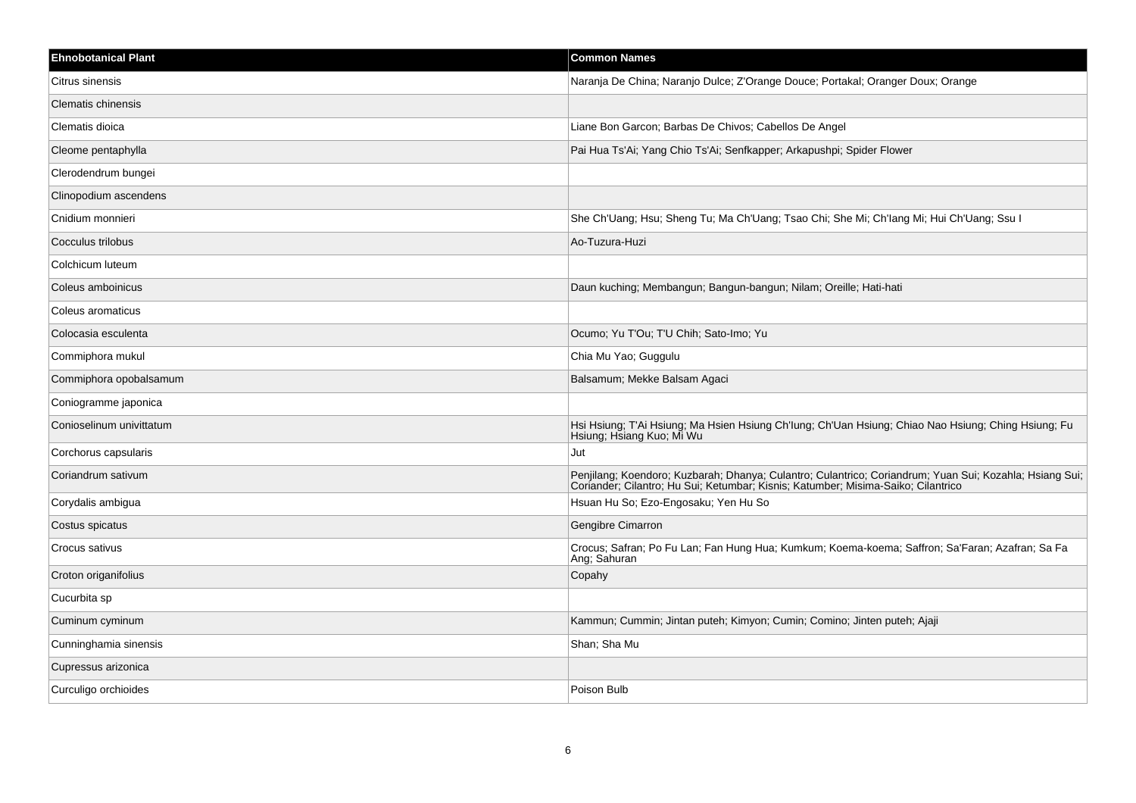| <b>Ehnobotanical Plant</b> | <b>Common Names</b>                                                                                                                                                                          |
|----------------------------|----------------------------------------------------------------------------------------------------------------------------------------------------------------------------------------------|
| Citrus sinensis            | Naranja De China; Naranjo Dulce; Z'Orange Douce; Portakal; Oranger Doux; Orange                                                                                                              |
| <b>Clematis chinensis</b>  |                                                                                                                                                                                              |
| Clematis dioica            | Liane Bon Garcon; Barbas De Chivos; Cabellos De Angel                                                                                                                                        |
| Cleome pentaphylla         | Pai Hua Ts'Ai; Yang Chio Ts'Ai; Senfkapper; Arkapushpi; Spider Flower                                                                                                                        |
| Clerodendrum bungei        |                                                                                                                                                                                              |
| Clinopodium ascendens      |                                                                                                                                                                                              |
| Cnidium monnieri           | She Ch'Uang; Hsu; Sheng Tu; Ma Ch'Uang; Tsao Chi; She Mi; Ch'Iang Mi; Hui Ch'Uang; Ssu I                                                                                                     |
| Cocculus trilobus          | Ao-Tuzura-Huzi                                                                                                                                                                               |
| Colchicum luteum           |                                                                                                                                                                                              |
| Coleus amboinicus          | Daun kuching; Membangun; Bangun-bangun; Nilam; Oreille; Hati-hati                                                                                                                            |
| Coleus aromaticus          |                                                                                                                                                                                              |
| Colocasia esculenta        | Ocumo; Yu T'Ou; T'U Chih; Sato-Imo; Yu                                                                                                                                                       |
| Commiphora mukul           | Chia Mu Yao; Guggulu                                                                                                                                                                         |
| Commiphora opobalsamum     | Balsamum; Mekke Balsam Agaci                                                                                                                                                                 |
| Coniogramme japonica       |                                                                                                                                                                                              |
| Conioselinum univittatum   | Hsi Hsiung; T'Ai Hsiung; Ma Hsien Hsiung Ch'lung; Ch'Uan Hsiung; Chiao Nao Hsiung; Ching Hsiung; Fu<br>Hsiung; Hsiang Kuo; Mi Wu                                                             |
| Corchorus capsularis       | Jut                                                                                                                                                                                          |
| Coriandrum sativum         | Penjilang; Koendoro; Kuzbarah; Dhanya; Culantro; Culantrico; Coriandrum; Yuan Sui; Kozahla; Hsiang Sui;<br>Coriander; Cilantro; Hu Sui; Ketumbar; Kisnis; Katumber; Misima-Saiko; Cilantrico |
| Corydalis ambigua          | Hsuan Hu So; Ezo-Engosaku; Yen Hu So                                                                                                                                                         |
| Costus spicatus            | Gengibre Cimarron                                                                                                                                                                            |
| Crocus sativus             | Crocus; Safran; Po Fu Lan; Fan Hung Hua; Kumkum; Koema-koema; Saffron; Sa'Faran; Azafran; Sa Fa<br>Ang; Sahuran                                                                              |
| Croton origanifolius       | Copahy                                                                                                                                                                                       |
| Cucurbita sp               |                                                                                                                                                                                              |
| Cuminum cyminum            | Kammun; Cummin; Jintan puteh; Kimyon; Cumin; Comino; Jinten puteh; Ajaji                                                                                                                     |
| Cunninghamia sinensis      | Shan; Sha Mu                                                                                                                                                                                 |
| Cupressus arizonica        |                                                                                                                                                                                              |
| Curculigo orchioides       | Poison Bulb                                                                                                                                                                                  |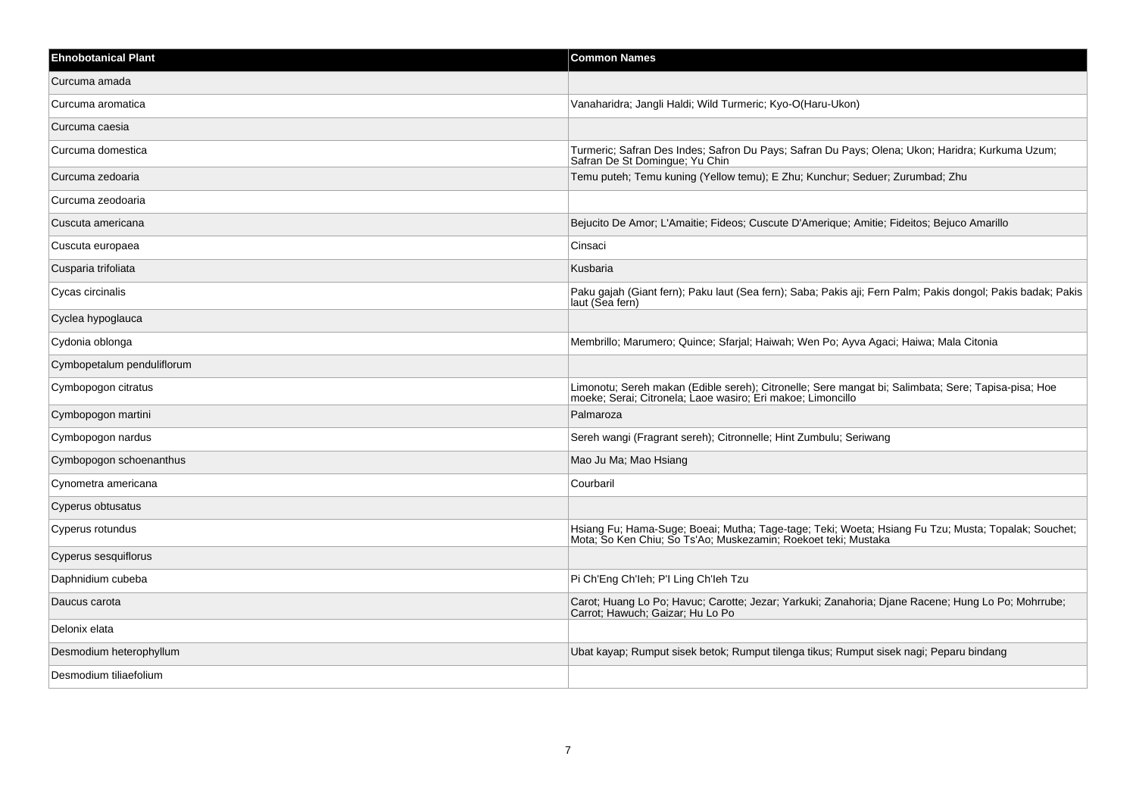| <b>Ehnobotanical Plant</b> | <b>Common Names</b>                                                                                                                                                   |
|----------------------------|-----------------------------------------------------------------------------------------------------------------------------------------------------------------------|
| Curcuma amada              |                                                                                                                                                                       |
| Curcuma aromatica          | Vanaharidra; Jangli Haldi; Wild Turmeric; Kyo-O(Haru-Ukon)                                                                                                            |
| Curcuma caesia             |                                                                                                                                                                       |
| Curcuma domestica          | Turmeric; Safran Des Indes; Safron Du Pays; Safran Du Pays; Olena; Ukon; Haridra; Kurkuma Uzum;<br>Safran De St Domingue; Yu Chin                                     |
| Curcuma zedoaria           | Temu puteh; Temu kuning (Yellow temu); E Zhu; Kunchur; Seduer; Zurumbad; Zhu                                                                                          |
| Curcuma zeodoaria          |                                                                                                                                                                       |
| Cuscuta americana          | Bejucito De Amor; L'Amaitie; Fideos; Cuscute D'Amerique; Amitie; Fideitos; Bejuco Amarillo                                                                            |
| Cuscuta europaea           | Cinsaci                                                                                                                                                               |
| Cusparia trifoliata        | Kusbaria                                                                                                                                                              |
| Cycas circinalis           | Paku gajah (Giant fern); Paku laut (Sea fern); Saba; Pakis aji; Fern Palm; Pakis dongol; Pakis badak; Pakis<br>laut (Sea fern)                                        |
| Cyclea hypoglauca          |                                                                                                                                                                       |
| Cydonia oblonga            | Membrillo; Marumero; Quince; Sfarjal; Haiwah; Wen Po; Ayva Agaci; Haiwa; Mala Citonia                                                                                 |
| Cymbopetalum penduliflorum |                                                                                                                                                                       |
| Cymbopogon citratus        | Limonotu; Sereh makan (Edible sereh); Citronelle; Sere mangat bi; Salimbata; Sere; Tapisa-pisa; Hoe<br>moeke; Serai; Citronela; Laoe wasiro; Eri makoe; Limoncillo    |
| Cymbopogon martini         | Palmaroza                                                                                                                                                             |
| Cymbopogon nardus          | Sereh wangi (Fragrant sereh); Citronnelle; Hint Zumbulu; Seriwang                                                                                                     |
| Cymbopogon schoenanthus    | Mao Ju Ma; Mao Hsiang                                                                                                                                                 |
| Cynometra americana        | Courbaril                                                                                                                                                             |
| Cyperus obtusatus          |                                                                                                                                                                       |
| Cyperus rotundus           | Hsiang Fu; Hama-Suge; Boeai; Mutha; Tage-tage; Teki; Woeta; Hsiang Fu Tzu; Musta; Topalak; Souchet;<br>Mota; So Ken Chiu; So Ts'Ao; Muskezamin; Roekoet teki; Mustaka |
| Cyperus sesquiflorus       |                                                                                                                                                                       |
| Daphnidium cubeba          | Pi Ch'Eng Ch'leh; P'l Ling Ch'leh Tzu                                                                                                                                 |
| Daucus carota              | Carot; Huang Lo Po; Havuc; Carotte; Jezar; Yarkuki; Zanahoria; Djane Racene; Hung Lo Po; Mohrrube;<br>Carrot; Hawuch; Gaizar; Hu Lo Po                                |
| Delonix elata              |                                                                                                                                                                       |
| Desmodium heterophyllum    | Ubat kayap; Rumput sisek betok; Rumput tilenga tikus; Rumput sisek nagi; Peparu bindang                                                                               |
| Desmodium tiliaefolium     |                                                                                                                                                                       |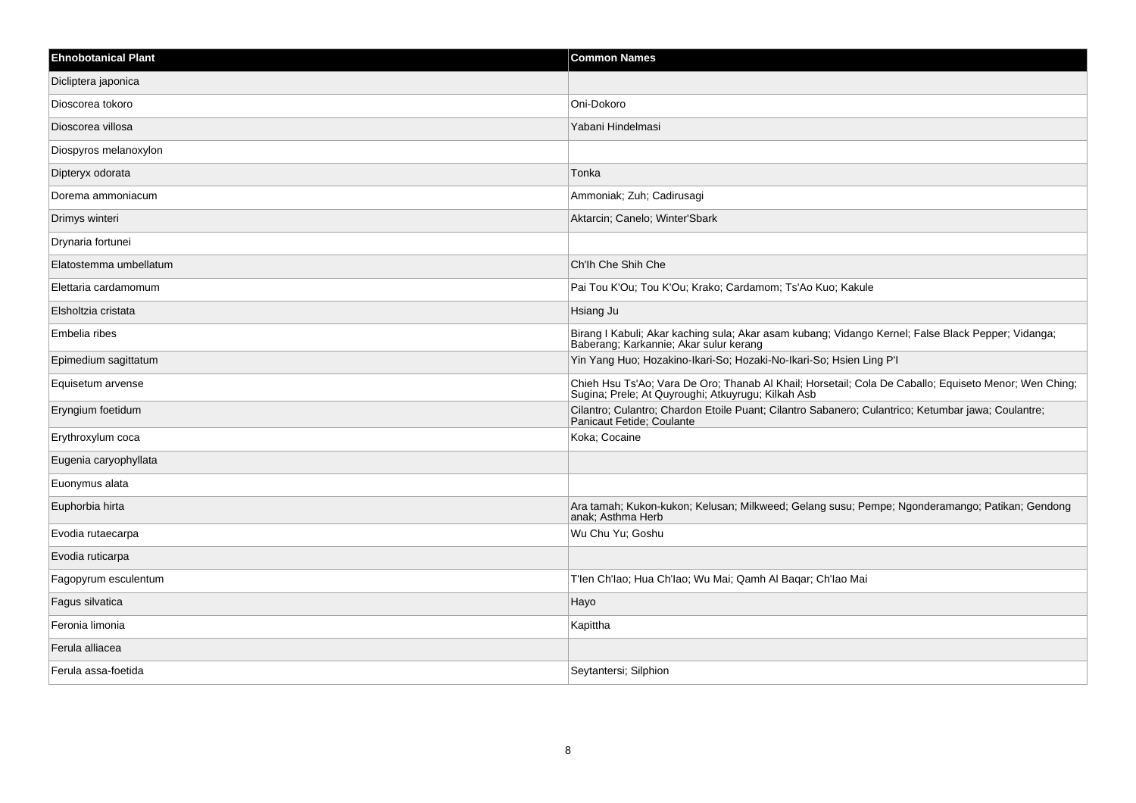| <b>Ehnobotanical Plant</b> | <b>Common Names</b>                                                                                                                                         |
|----------------------------|-------------------------------------------------------------------------------------------------------------------------------------------------------------|
| Dicliptera japonica        |                                                                                                                                                             |
| Dioscorea tokoro           | Oni-Dokoro                                                                                                                                                  |
| Dioscorea villosa          | Yabani Hindelmasi                                                                                                                                           |
| Diospyros melanoxylon      |                                                                                                                                                             |
| Dipteryx odorata           | Tonka                                                                                                                                                       |
| Dorema ammoniacum          | Ammoniak; Zuh; Cadirusagi                                                                                                                                   |
| Drimys winteri             | Aktarcin; Canelo; Winter'Sbark                                                                                                                              |
| Drynaria fortunei          |                                                                                                                                                             |
| Elatostemma umbellatum     | Ch'lh Che Shih Che                                                                                                                                          |
| Elettaria cardamomum       | Pai Tou K'Ou; Tou K'Ou; Krako; Cardamom; Ts'Ao Kuo; Kakule                                                                                                  |
| Elsholtzia cristata        | Hsiang Ju                                                                                                                                                   |
| Embelia ribes              | Birang I Kabuli; Akar kaching sula; Akar asam kubang; Vidango Kernel; False Black Pepper; Vidanga;<br>Baberang; Karkannie; Akar sulur kerang                |
| Epimedium sagittatum       | Yin Yang Huo; Hozakino-Ikari-So; Hozaki-No-Ikari-So; Hsien Ling P'I                                                                                         |
| Equisetum arvense          | Chieh Hsu Ts'Ao; Vara De Oro; Thanab Al Khail; Horsetail; Cola De Caballo; Equiseto Menor; Wen Ching;<br>Sugina; Prele; At Quyroughi; Atkuyrugu; Kilkah Asb |
| Eryngium foetidum          | Cilantro; Culantro; Chardon Etoile Puant; Cilantro Sabanero; Culantrico; Ketumbar jawa; Coulantre;<br>Panicaut Fetide; Coulante                             |
| Erythroxylum coca          | Koka; Cocaine                                                                                                                                               |
| Eugenia caryophyllata      |                                                                                                                                                             |
| Euonymus alata             |                                                                                                                                                             |
| Euphorbia hirta            | Ara tamah; Kukon-kukon; Kelusan; Milkweed; Gelang susu; Pempe; Ngonderamango; Patikan; Gendong<br>anak; Asthma Herb                                         |
| Evodia rutaecarpa          | Wu Chu Yu; Goshu                                                                                                                                            |
| Evodia ruticarpa           |                                                                                                                                                             |
| Fagopyrum esculentum       | T'len Ch'lao; Hua Ch'lao; Wu Mai; Qamh Al Baqar; Ch'lao Mai                                                                                                 |
| Fagus silvatica            | Hayo                                                                                                                                                        |
| Feronia limonia            | Kapittha                                                                                                                                                    |
| Ferula alliacea            |                                                                                                                                                             |
| Ferula assa-foetida        | Seytantersi; Silphion                                                                                                                                       |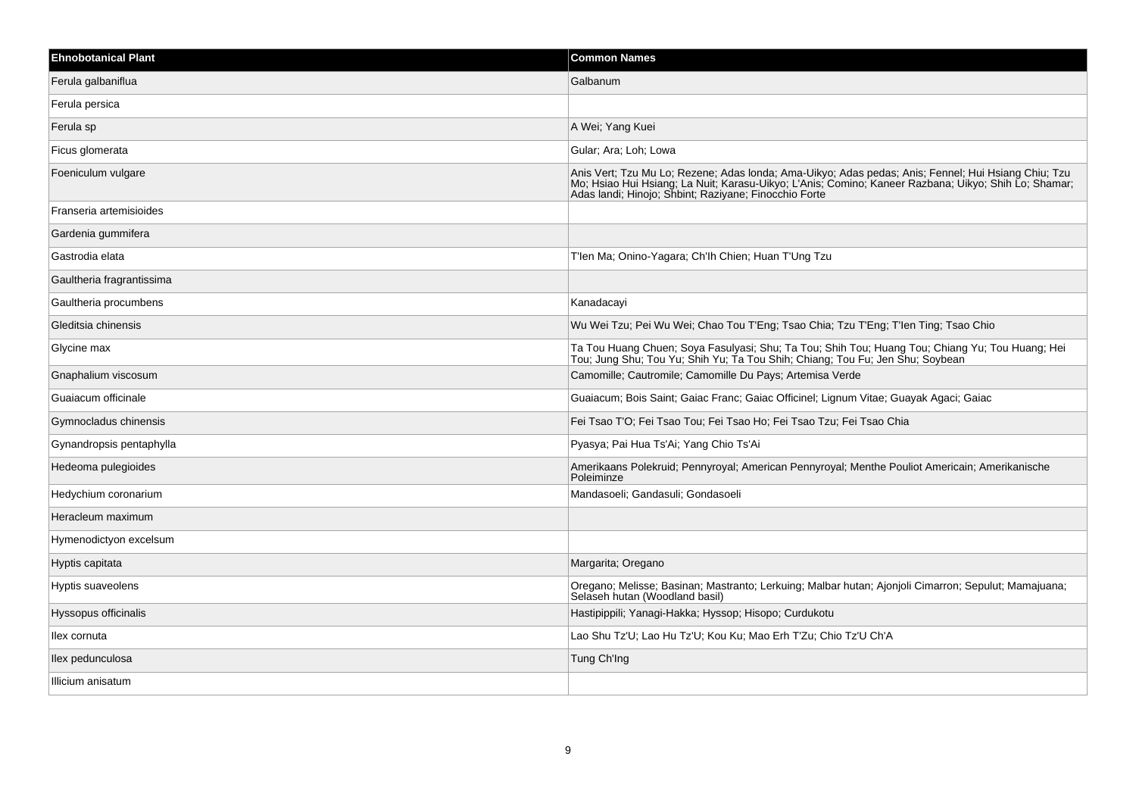| <b>Ehnobotanical Plant</b> | <b>Common Names</b>                                                                                                                                                                                                                                                  |
|----------------------------|----------------------------------------------------------------------------------------------------------------------------------------------------------------------------------------------------------------------------------------------------------------------|
| Ferula galbaniflua         | Galbanum                                                                                                                                                                                                                                                             |
| Ferula persica             |                                                                                                                                                                                                                                                                      |
| Ferula sp                  | A Wei; Yang Kuei                                                                                                                                                                                                                                                     |
| Ficus glomerata            | Gular; Ara; Loh; Lowa                                                                                                                                                                                                                                                |
| Foeniculum vulgare         | Anis Vert; Tzu Mu Lo; Rezene; Adas londa; Ama-Uikyo; Adas pedas; Anis; Fennel; Hui Hsiang Chiu; Tzu<br>Mo; Hsiao Hui Hsiang; La Nuit; Karasu-Uikyo; L'Anis; Comino; Kaneer Razbana; Uikyo; Shih Lo; Shamar;<br>Adas landi; Hinojo; Shbint; Raziyane; Finocchio Forte |
| Franseria artemisioides    |                                                                                                                                                                                                                                                                      |
| Gardenia gummifera         |                                                                                                                                                                                                                                                                      |
| Gastrodia elata            | T'len Ma; Onino-Yagara; Ch'lh Chien; Huan T'Ung Tzu                                                                                                                                                                                                                  |
| Gaultheria fragrantissima  |                                                                                                                                                                                                                                                                      |
| Gaultheria procumbens      | Kanadacayi                                                                                                                                                                                                                                                           |
| Gleditsia chinensis        | Wu Wei Tzu; Pei Wu Wei; Chao Tou T'Eng; Tsao Chia; Tzu T'Eng; T'len Ting; Tsao Chio                                                                                                                                                                                  |
| Glycine max                | Ta Tou Huang Chuen; Soya Fasulyasi; Shu; Ta Tou; Shih Tou; Huang Tou; Chiang Yu; Tou Huang; Hei<br>Tou; Jung Shu; Tou Yu; Shih Yu; Ta Tou Shih; Chiang; Tou Fu; Jen Shu; Soybean                                                                                     |
| Gnaphalium viscosum        | Camomille; Cautromile; Camomille Du Pays; Artemisa Verde                                                                                                                                                                                                             |
| Guaiacum officinale        | Guaiacum; Bois Saint; Gaiac Franc; Gaiac Officinel; Lignum Vitae; Guayak Agaci; Gaiac                                                                                                                                                                                |
| Gymnocladus chinensis      | Fei Tsao T'O; Fei Tsao Tou; Fei Tsao Ho; Fei Tsao Tzu; Fei Tsao Chia                                                                                                                                                                                                 |
| Gynandropsis pentaphylla   | Pyasya; Pai Hua Ts'Ai; Yang Chio Ts'Ai                                                                                                                                                                                                                               |
| Hedeoma pulegioides        | Amerikaans Polekruid; Pennyroyal; American Pennyroyal; Menthe Pouliot Americain; Amerikanische<br>Poleiminze                                                                                                                                                         |
| Hedychium coronarium       | Mandasoeli; Gandasuli; Gondasoeli                                                                                                                                                                                                                                    |
| Heracleum maximum          |                                                                                                                                                                                                                                                                      |
| Hymenodictyon excelsum     |                                                                                                                                                                                                                                                                      |
| Hyptis capitata            | Margarita; Oregano                                                                                                                                                                                                                                                   |
| Hyptis suaveolens          | Oregano; Melisse; Basinan; Mastranto; Lerkuing; Malbar hutan; Ajonjoli Cimarron; Sepulut; Mamajuana;<br>Selaseh hutan (Woodland basil)                                                                                                                               |
| Hyssopus officinalis       | Hastipippili; Yanagi-Hakka; Hyssop; Hisopo; Curdukotu                                                                                                                                                                                                                |
| llex cornuta               | Lao Shu Tz'U; Lao Hu Tz'U; Kou Ku; Mao Erh T'Zu; Chio Tz'U Ch'A                                                                                                                                                                                                      |
| llex pedunculosa           | Tung Ch'Ing                                                                                                                                                                                                                                                          |
| Illicium anisatum          |                                                                                                                                                                                                                                                                      |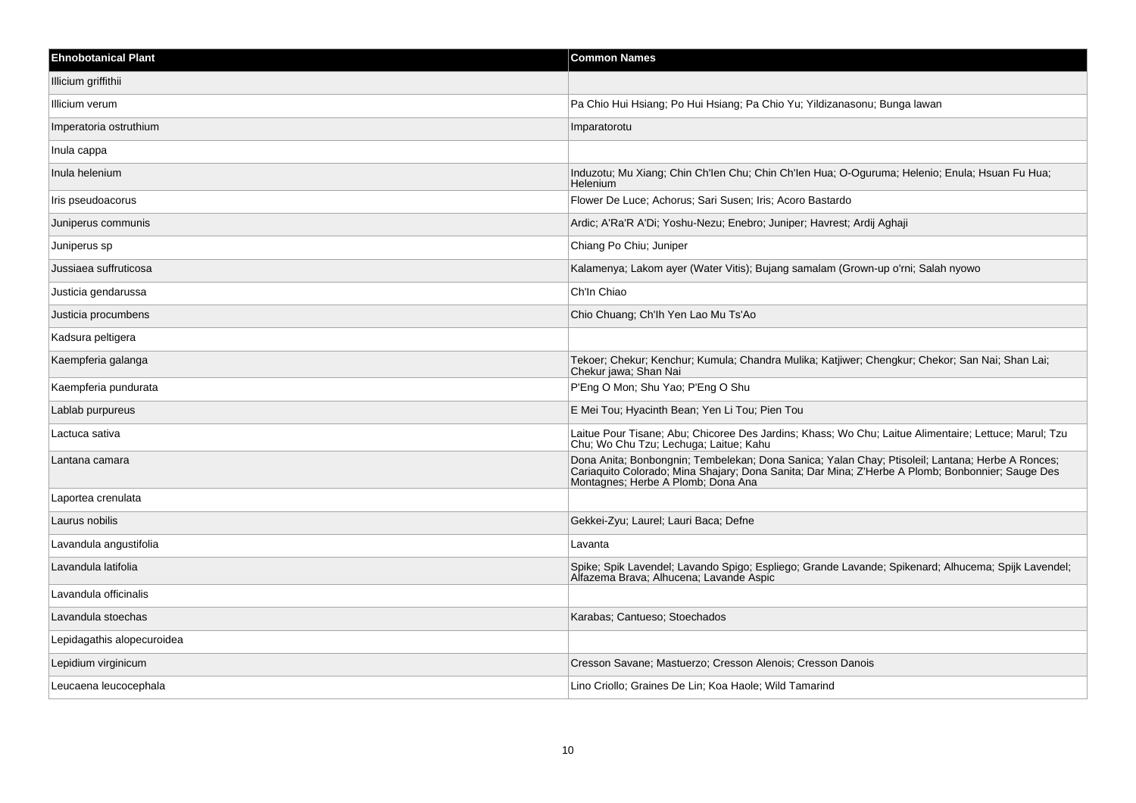| <b>Ehnobotanical Plant</b> | <b>Common Names</b>                                                                                                                                                                                                                        |
|----------------------------|--------------------------------------------------------------------------------------------------------------------------------------------------------------------------------------------------------------------------------------------|
| Illicium griffithii        |                                                                                                                                                                                                                                            |
| Illicium verum             | Pa Chio Hui Hsiang; Po Hui Hsiang; Pa Chio Yu; Yildizanasonu; Bunga lawan                                                                                                                                                                  |
| Imperatoria ostruthium     | Imparatorotu                                                                                                                                                                                                                               |
| Inula cappa                |                                                                                                                                                                                                                                            |
| Inula helenium             | Induzotu; Mu Xiang; Chin Ch'len Chu; Chin Ch'len Hua; O-Oguruma; Helenio; Enula; Hsuan Fu Hua;<br><b>Helenium</b>                                                                                                                          |
| Iris pseudoacorus          | Flower De Luce; Achorus; Sari Susen; Iris; Acoro Bastardo                                                                                                                                                                                  |
| Juniperus communis         | Ardic; A'Ra'R A'Di; Yoshu-Nezu; Enebro; Juniper; Havrest; Ardij Aghaji                                                                                                                                                                     |
| Juniperus sp               | Chiang Po Chiu; Juniper                                                                                                                                                                                                                    |
| Jussiaea suffruticosa      | Kalamenya; Lakom ayer (Water Vitis); Bujang samalam (Grown-up o'rni; Salah nyowo                                                                                                                                                           |
| Justicia gendarussa        | Ch'In Chiao                                                                                                                                                                                                                                |
| Justicia procumbens        | Chio Chuang; Ch'lh Yen Lao Mu Ts'Ao                                                                                                                                                                                                        |
| Kadsura peltigera          |                                                                                                                                                                                                                                            |
| Kaempferia galanga         | Tekoer; Chekur; Kenchur; Kumula; Chandra Mulika; Katjiwer; Chengkur; Chekor; San Nai; Shan Lai;<br>Chekur jawa; Shan Nai                                                                                                                   |
| Kaempferia pundurata       | P'Eng O Mon; Shu Yao; P'Eng O Shu                                                                                                                                                                                                          |
| Lablab purpureus           | E Mei Tou; Hyacinth Bean; Yen Li Tou; Pien Tou                                                                                                                                                                                             |
| Lactuca sativa             | Laitue Pour Tisane; Abu; Chicoree Des Jardins; Khass; Wo Chu; Laitue Alimentaire; Lettuce; Marul; Tzu<br>Chu; Wo Chu Tzu; Lechuga; Laitue; Kahu                                                                                            |
| Lantana camara             | Dona Anita; Bonbongnin; Tembelekan; Dona Sanica; Yalan Chay; Ptisoleil; Lantana; Herbe A Ronces;<br>Cariaquito Colorado, Mina Shajary; Dona Sanita; Dar Mina; Z'Herbe A Plomb; Bonbonnier; Sauge Des<br>Montagnes; Herbe A Plomb; Dona Ana |
| Laportea crenulata         |                                                                                                                                                                                                                                            |
| Laurus nobilis             | Gekkei-Zyu; Laurel; Lauri Baca; Defne                                                                                                                                                                                                      |
| Lavandula angustifolia     | Lavanta                                                                                                                                                                                                                                    |
| Lavandula latifolia        | Spike; Spik Lavendel; Lavando Spigo; Espliego; Grande Lavande; Spikenard; Alhucema; Spijk Lavendel;<br>Alfazema Brava; Alhucena; Lavande Aspic                                                                                             |
| Lavandula officinalis      |                                                                                                                                                                                                                                            |
| Lavandula stoechas         | Karabas; Cantueso; Stoechados                                                                                                                                                                                                              |
| Lepidagathis alopecuroidea |                                                                                                                                                                                                                                            |
| Lepidium virginicum        | Cresson Savane; Mastuerzo; Cresson Alenois; Cresson Danois                                                                                                                                                                                 |
| Leucaena leucocephala      | Lino Criollo; Graines De Lin; Koa Haole; Wild Tamarind                                                                                                                                                                                     |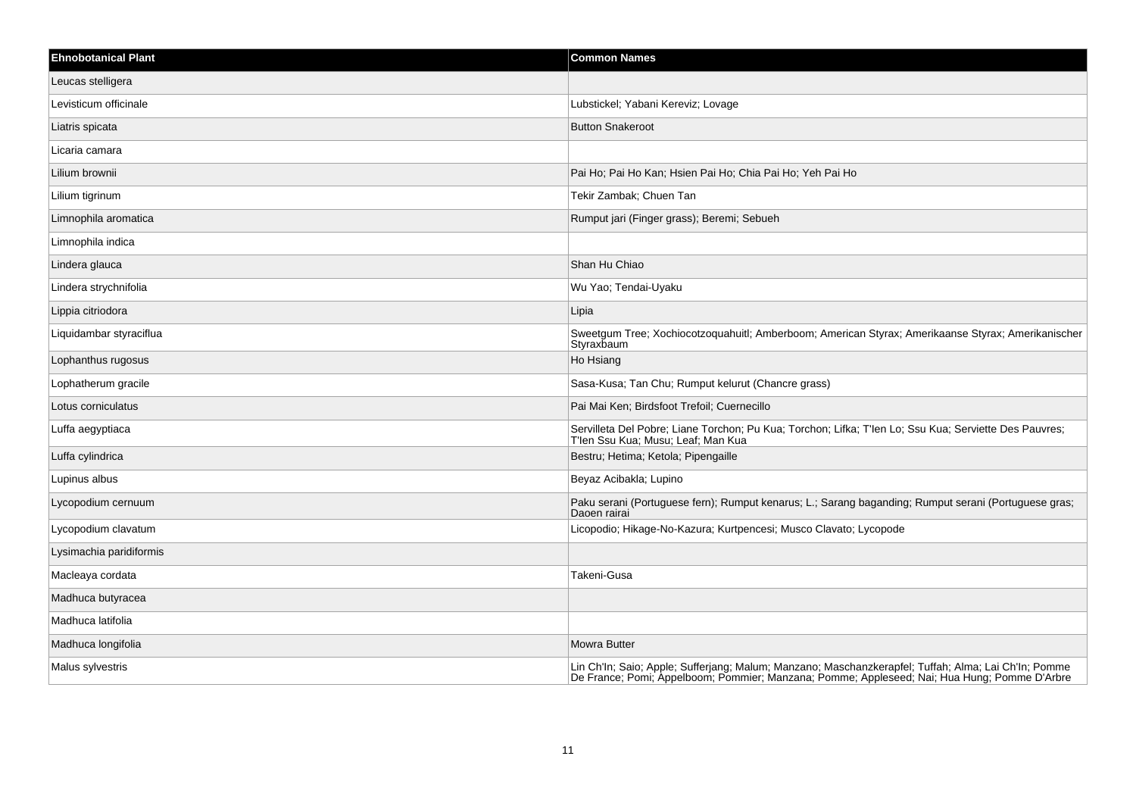| <b>Ehnobotanical Plant</b> | <b>Common Names</b>                                                                                                                                                                                  |
|----------------------------|------------------------------------------------------------------------------------------------------------------------------------------------------------------------------------------------------|
| Leucas stelligera          |                                                                                                                                                                                                      |
| Levisticum officinale      | Lubstickel; Yabani Kereviz; Lovage                                                                                                                                                                   |
| Liatris spicata            | <b>Button Snakeroot</b>                                                                                                                                                                              |
| Licaria camara             |                                                                                                                                                                                                      |
| Lilium brownii             | Pai Ho; Pai Ho Kan; Hsien Pai Ho; Chia Pai Ho; Yeh Pai Ho                                                                                                                                            |
| Lilium tigrinum            | Tekir Zambak; Chuen Tan                                                                                                                                                                              |
| Limnophila aromatica       | Rumput jari (Finger grass); Beremi; Sebueh                                                                                                                                                           |
| Limnophila indica          |                                                                                                                                                                                                      |
| Lindera glauca             | Shan Hu Chiao                                                                                                                                                                                        |
| Lindera strychnifolia      | Wu Yao; Tendai-Uyaku                                                                                                                                                                                 |
| Lippia citriodora          | Lipia                                                                                                                                                                                                |
| Liquidambar styraciflua    | Sweetgum Tree; Xochiocotzoquahuitl; Amberboom; American Styrax; Amerikaanse Styrax; Amerikanischer<br>Styraxbaum                                                                                     |
| Lophanthus rugosus         | Ho Hsiang                                                                                                                                                                                            |
| Lophatherum gracile        | Sasa-Kusa; Tan Chu; Rumput kelurut (Chancre grass)                                                                                                                                                   |
| Lotus corniculatus         | Pai Mai Ken; Birdsfoot Trefoil; Cuernecillo                                                                                                                                                          |
| Luffa aegyptiaca           | Servilleta Del Pobre; Liane Torchon; Pu Kua; Torchon; Lifka; T'len Lo; Ssu Kua; Serviette Des Pauvres;<br>T'len Ssu Kua; Musu; Leaf; Man Kua                                                         |
| Luffa cylindrica           | Bestru; Hetima; Ketola; Pipengaille                                                                                                                                                                  |
| Lupinus albus              | Beyaz Acibakla; Lupino                                                                                                                                                                               |
| Lycopodium cernuum         | Paku serani (Portuguese fern); Rumput kenarus; L.; Sarang baganding; Rumput serani (Portuguese gras;<br>Daoen rairai                                                                                 |
| Lycopodium clavatum        | Licopodio; Hikage-No-Kazura; Kurtpencesi; Musco Clavato; Lycopode                                                                                                                                    |
| Lysimachia paridiformis    |                                                                                                                                                                                                      |
| Macleaya cordata           | Takeni-Gusa                                                                                                                                                                                          |
| Madhuca butyracea          |                                                                                                                                                                                                      |
| Madhuca latifolia          |                                                                                                                                                                                                      |
| Madhuca longifolia         | <b>Mowra Butter</b>                                                                                                                                                                                  |
| Malus sylvestris           | Lin Ch'In; Saio; Apple; Sufferjang; Malum; Manzano; Maschanzkerapfel; Tuffah; Alma; Lai Ch'In; Pomme<br>De France; Pomi; Appelboom; Pommier; Manzana; Pomme; Appleseed; Nai; Hua Hung; Pomme D'Arbre |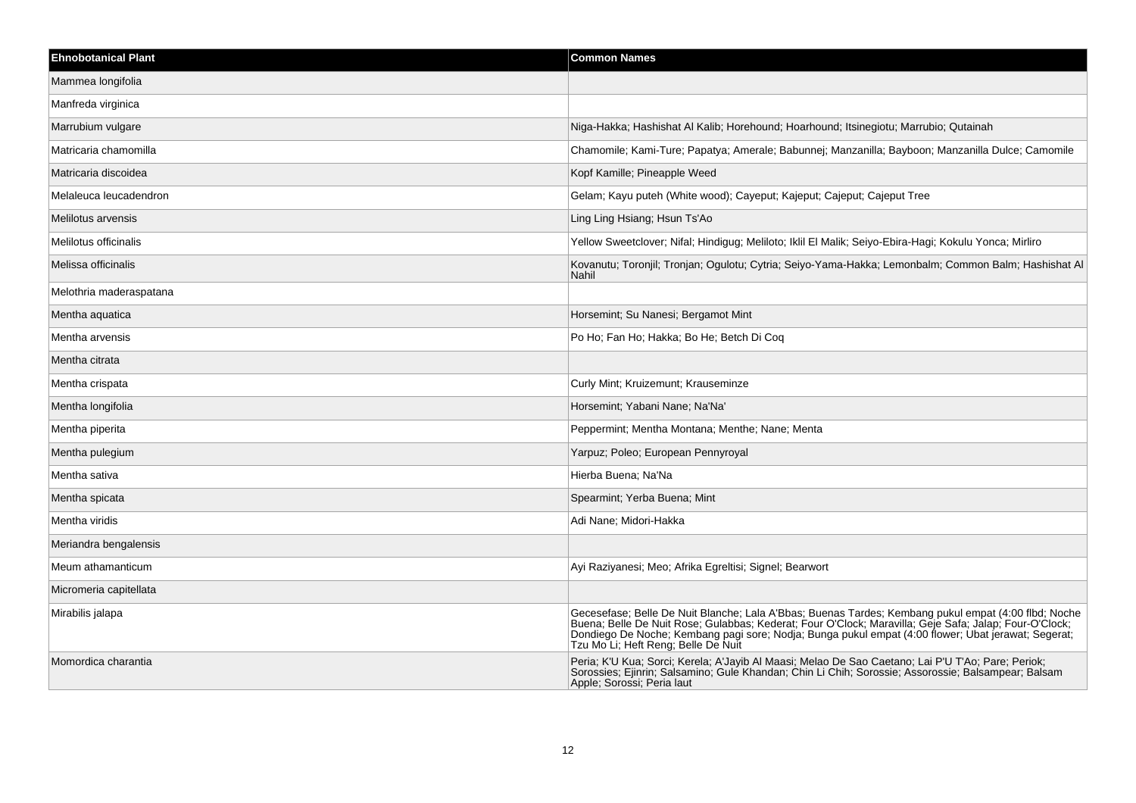| <b>Ehnobotanical Plant</b> | <b>Common Names</b>                                                                                                                                                                                                                                                                                                                                          |
|----------------------------|--------------------------------------------------------------------------------------------------------------------------------------------------------------------------------------------------------------------------------------------------------------------------------------------------------------------------------------------------------------|
| Mammea longifolia          |                                                                                                                                                                                                                                                                                                                                                              |
| Manfreda virginica         |                                                                                                                                                                                                                                                                                                                                                              |
| Marrubium vulgare          | Niga-Hakka; Hashishat Al Kalib; Horehound; Hoarhound; Itsinegiotu; Marrubio; Qutainah                                                                                                                                                                                                                                                                        |
| Matricaria chamomilla      | Chamomile; Kami-Ture; Papatya; Amerale; Babunnej; Manzanilla; Bayboon; Manzanilla Dulce; Camomile                                                                                                                                                                                                                                                            |
| Matricaria discoidea       | Kopf Kamille; Pineapple Weed                                                                                                                                                                                                                                                                                                                                 |
| Melaleuca leucadendron     | Gelam; Kayu puteh (White wood); Cayeput; Kajeput; Cajeput; Cajeput Tree                                                                                                                                                                                                                                                                                      |
| Melilotus arvensis         | Ling Ling Hsiang; Hsun Ts'Ao                                                                                                                                                                                                                                                                                                                                 |
| Melilotus officinalis      | Yellow Sweetclover; Nifal; Hindigug; Meliloto; Iklil El Malik; Seiyo-Ebira-Hagi; Kokulu Yonca; Mirliro                                                                                                                                                                                                                                                       |
| Melissa officinalis        | Kovanutu; Toronjil; Tronjan; Ogulotu; Cytria; Seiyo-Yama-Hakka; Lemonbalm; Common Balm; Hashishat Al<br>Nahil                                                                                                                                                                                                                                                |
| Melothria maderaspatana    |                                                                                                                                                                                                                                                                                                                                                              |
| Mentha aquatica            | Horsemint; Su Nanesi; Bergamot Mint                                                                                                                                                                                                                                                                                                                          |
| Mentha arvensis            | Po Ho; Fan Ho; Hakka; Bo He; Betch Di Coq                                                                                                                                                                                                                                                                                                                    |
| Mentha citrata             |                                                                                                                                                                                                                                                                                                                                                              |
| Mentha crispata            | Curly Mint; Kruizemunt; Krauseminze                                                                                                                                                                                                                                                                                                                          |
| Mentha longifolia          | Horsemint; Yabani Nane; Na'Na'                                                                                                                                                                                                                                                                                                                               |
| Mentha piperita            | Peppermint; Mentha Montana; Menthe; Nane; Menta                                                                                                                                                                                                                                                                                                              |
| Mentha pulegium            | Yarpuz; Poleo; European Pennyroyal                                                                                                                                                                                                                                                                                                                           |
| Mentha sativa              | Hierba Buena; Na'Na                                                                                                                                                                                                                                                                                                                                          |
| Mentha spicata             | Spearmint: Yerba Buena; Mint                                                                                                                                                                                                                                                                                                                                 |
| Mentha viridis             | Adi Nane; Midori-Hakka                                                                                                                                                                                                                                                                                                                                       |
| Meriandra bengalensis      |                                                                                                                                                                                                                                                                                                                                                              |
| Meum athamanticum          | Ayi Raziyanesi; Meo; Afrika Egreltisi; Signel; Bearwort                                                                                                                                                                                                                                                                                                      |
| Micromeria capitellata     |                                                                                                                                                                                                                                                                                                                                                              |
| Mirabilis jalapa           | Gecesefase; Belle De Nuit Blanche; Lala A'Bbas; Buenas Tardes; Kembang pukul empat (4:00 flbd; Noche<br>Buena; Belle De Nuit Rose; Gulabbas; Kederat; Four O'Clock; Maravilla; Geje Safa; Jalap; Four-O'Clock;<br>Dondiego De Noche; Kembang pagi sore; Nodja; Bunga pukul empat (4:00 flower; Ubat jerawat; Segerat;<br>Tzu Mo Li; Heft Reng; Belle De Nuit |
| Momordica charantia        | Peria; K'U Kua; Sorci; Kerela; A'Jayib Al Maasi; Melao De Sao Caetano; Lai P'U T'Ao; Pare; Periok;<br>Sorossies; Ejinrin; Salsamino; Gule Khandan; Chin Li Chih; Sorossie; Assorossie; Balsampear; Balsam<br>Apple; Sorossi; Peria laut                                                                                                                      |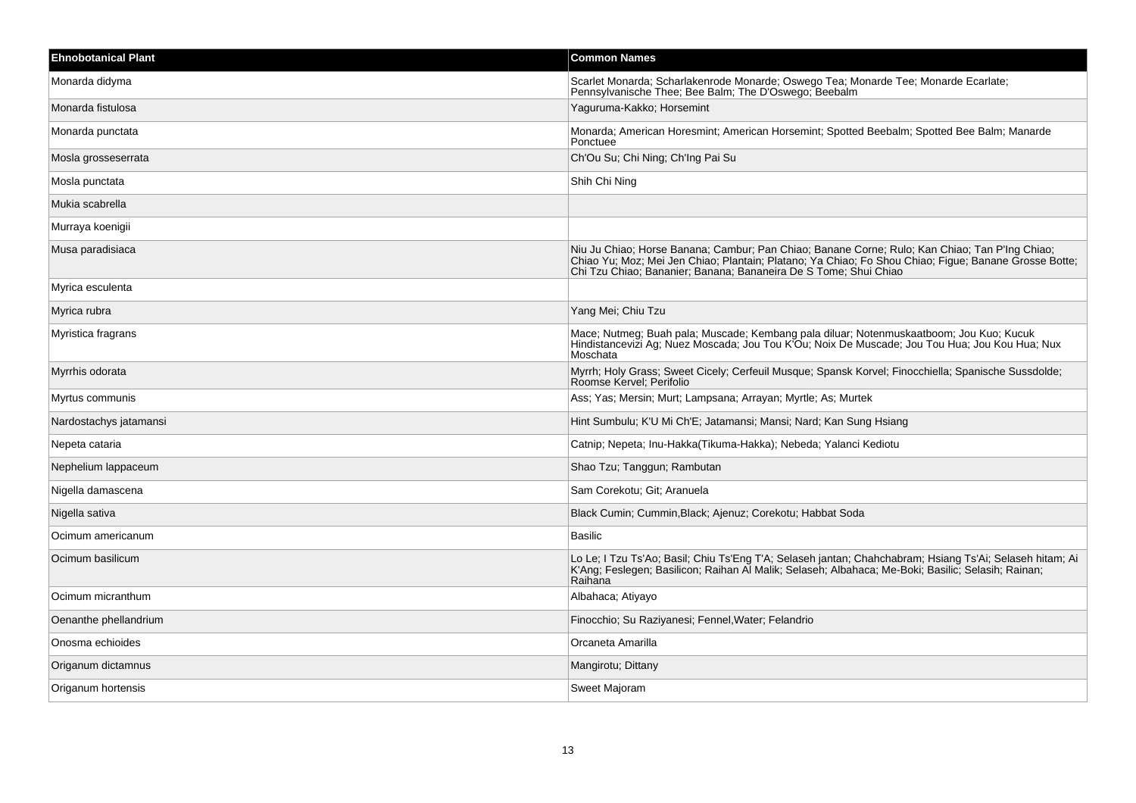| <b>Ehnobotanical Plant</b> | <b>Common Names</b>                                                                                                                                                                                                                                                         |
|----------------------------|-----------------------------------------------------------------------------------------------------------------------------------------------------------------------------------------------------------------------------------------------------------------------------|
| Monarda didyma             | Scarlet Monarda; Scharlakenrode Monarde; Oswego Tea; Monarde Tee; Monarde Ecarlate;<br>Pennsylvanische Thee; Bee Balm; The D'Oswego; Beebalm                                                                                                                                |
| Monarda fistulosa          | Yaguruma-Kakko; Horsemint                                                                                                                                                                                                                                                   |
| Monarda punctata           | Monarda; American Horesmint; American Horsemint; Spotted Beebalm; Spotted Bee Balm; Manarde<br>Ponctuee                                                                                                                                                                     |
| Mosla grosseserrata        | Ch'Ou Su; Chi Ning; Ch'Ing Pai Su                                                                                                                                                                                                                                           |
| Mosla punctata             | Shih Chi Ning                                                                                                                                                                                                                                                               |
| Mukia scabrella            |                                                                                                                                                                                                                                                                             |
| Murraya koenigii           |                                                                                                                                                                                                                                                                             |
| Musa paradisiaca           | Niu Ju Chiao; Horse Banana; Cambur; Pan Chiao; Banane Corne; Rulo; Kan Chiao; Tan P'Ing Chiao;<br>Chiao Yu; Moz; Mei Jen Chiao; Plantain; Platano; Ya Chiao; Fo Shou Chiao; Figue; Banane Grosse Botte;<br>Chi Tzu Chiao; Bananier; Banana; Bananeira De S Tome; Shui Chiao |
| Myrica esculenta           |                                                                                                                                                                                                                                                                             |
| Myrica rubra               | Yang Mei; Chiu Tzu                                                                                                                                                                                                                                                          |
| Myristica fragrans         | Mace; Nutmeg; Buah pala; Muscade; Kembang pala diluar; Notenmuskaatboom; Jou Kuo; Kucuk<br>Hindistancevizi Ag; Nuez Moscada; Jou Tou K'Ou; Noix De Muscade; Jou Tou Hua; Jou Kou Hua; Nux<br>Moschata                                                                       |
| Myrrhis odorata            | Myrrh; Holy Grass; Sweet Cicely; Cerfeuil Musque; Spansk Korvel; Finocchiella; Spanische Sussdolde;<br>Roomse Kervel; Perifolio                                                                                                                                             |
| Myrtus communis            | Ass: Yas: Mersin: Murt: Lampsana: Arrayan: Myrtle: As: Murtek                                                                                                                                                                                                               |
| Nardostachys jatamansi     | Hint Sumbulu; K'U Mi Ch'E; Jatamansi; Mansi; Nard; Kan Sung Hsiang                                                                                                                                                                                                          |
| Nepeta cataria             | Catnip; Nepeta; Inu-Hakka(Tikuma-Hakka); Nebeda; Yalanci Kediotu                                                                                                                                                                                                            |
| Nephelium lappaceum        | Shao Tzu; Tanggun; Rambutan                                                                                                                                                                                                                                                 |
| Nigella damascena          | Sam Corekotu; Git; Aranuela                                                                                                                                                                                                                                                 |
| Nigella sativa             | Black Cumin; Cummin, Black; Ajenuz; Corekotu; Habbat Soda                                                                                                                                                                                                                   |
| Ocimum americanum          | <b>Basilic</b>                                                                                                                                                                                                                                                              |
| Ocimum basilicum           | Lo Le; I Tzu Ts'Ao; Basil; Chiu Ts'Eng T'A; Selaseh jantan; Chahchabram; Hsiang Ts'Ai; Selaseh hitam; Ai<br>K'Ang; Feslegen; Basilicon; Raihan Al Malik; Selaseh; Albahaca; Me-Boki; Basilic; Selasih; Rainan;<br>Raihana                                                   |
| Ocimum micranthum          | Albahaca; Atiyayo                                                                                                                                                                                                                                                           |
| Oenanthe phellandrium      | Finocchio; Su Raziyanesi; Fennel, Water; Felandrio                                                                                                                                                                                                                          |
| Onosma echioides           | Orcaneta Amarilla                                                                                                                                                                                                                                                           |
| Origanum dictamnus         | Mangirotu; Dittany                                                                                                                                                                                                                                                          |
| Origanum hortensis         | Sweet Majoram                                                                                                                                                                                                                                                               |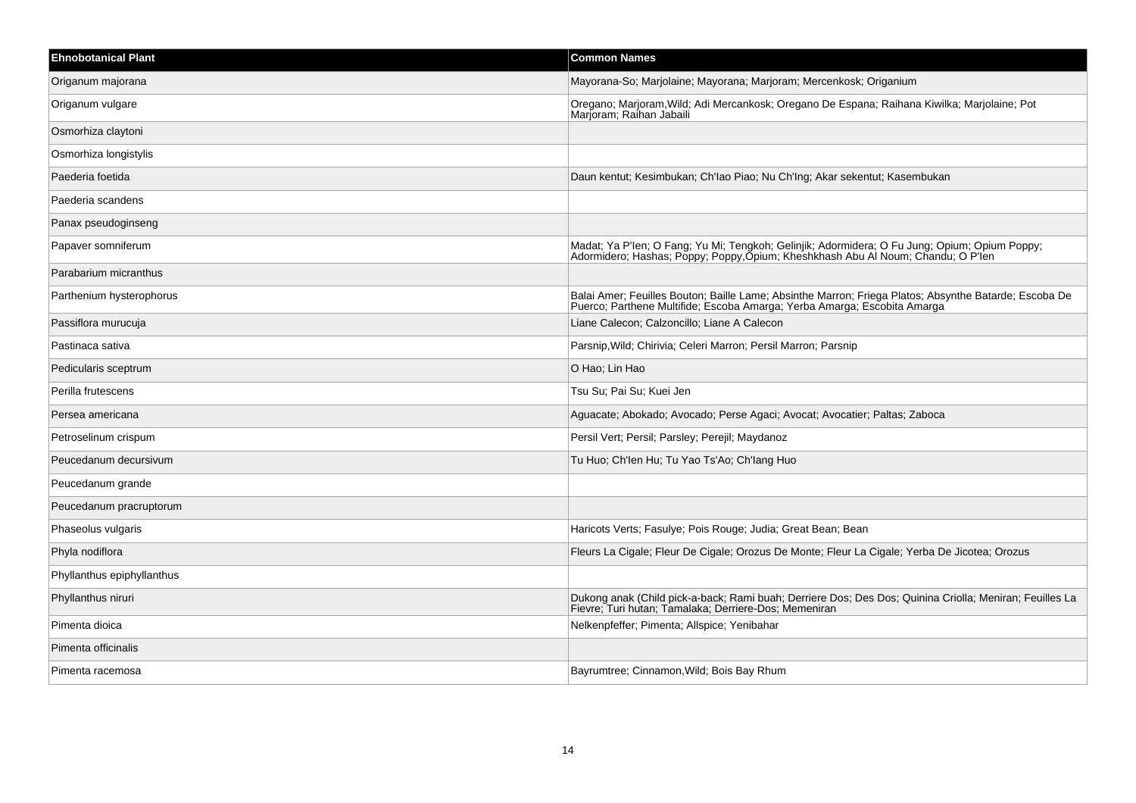| <b>Ehnobotanical Plant</b> | <b>Common Names</b>                                                                                                                                                               |
|----------------------------|-----------------------------------------------------------------------------------------------------------------------------------------------------------------------------------|
| Origanum majorana          | Mayorana-So; Marjolaine; Mayorana; Marjoram; Mercenkosk; Origanium                                                                                                                |
| Origanum vulgare           | Oregano; Marjoram, Wild; Adi Mercankosk; Oregano De Espana; Raihana Kiwilka; Marjolaine; Pot<br>Marjoram; Raihan Jabaili                                                          |
| Osmorhiza claytoni         |                                                                                                                                                                                   |
| Osmorhiza longistylis      |                                                                                                                                                                                   |
| Paederia foetida           | Daun kentut; Kesimbukan; Ch'lao Piao; Nu Ch'lng; Akar sekentut; Kasembukan                                                                                                        |
| Paederia scandens          |                                                                                                                                                                                   |
| Panax pseudoginseng        |                                                                                                                                                                                   |
| Papaver somniferum         | Madat; Ya P'len; O Fang; Yu Mi; Tengkoh; Gelinjik; Adormidera; O Fu Jung; Opium; Opium Poppy;<br>Adormidero; Hashas; Poppy; Poppy, Opium; Kheshkhash Abu Al Noum; Chandu; O P'len |
| Parabarium micranthus      |                                                                                                                                                                                   |
| Parthenium hysterophorus   | Balai Amer; Feuilles Bouton; Baille Lame; Absinthe Marron; Friega Platos; Absynthe Batarde; Escoba De<br>Puerco: Parthene Multifide: Escoba Amarga: Yerba Amarga: Escobita Amarga |
| Passiflora murucuja        | Liane Calecon; Calzoncillo; Liane A Calecon                                                                                                                                       |
| Pastinaca sativa           | Parsnip, Wild; Chirivia; Celeri Marron; Persil Marron; Parsnip                                                                                                                    |
| Pedicularis sceptrum       | O Hao; Lin Hao                                                                                                                                                                    |
| Perilla frutescens         | Tsu Su: Pai Su: Kuei Jen                                                                                                                                                          |
| Persea americana           | Aguacate; Abokado; Avocado; Perse Agaci; Avocat; Avocatier; Paltas; Zaboca                                                                                                        |
| Petroselinum crispum       | Persil Vert; Persil; Parsley; Perejil; Maydanoz                                                                                                                                   |
| Peucedanum decursivum      | Tu Huo; Ch'len Hu; Tu Yao Ts'Ao; Ch'lang Huo                                                                                                                                      |
| Peucedanum grande          |                                                                                                                                                                                   |
| Peucedanum pracruptorum    |                                                                                                                                                                                   |
| Phaseolus vulgaris         | Haricots Verts; Fasulye; Pois Rouge; Judia; Great Bean; Bean                                                                                                                      |
| Phyla nodiflora            | Fleurs La Cigale; Fleur De Cigale; Orozus De Monte; Fleur La Cigale; Yerba De Jicotea; Orozus                                                                                     |
| Phyllanthus epiphyllanthus |                                                                                                                                                                                   |
| Phyllanthus niruri         | Dukong anak (Child pick-a-back; Rami buah; Derriere Dos; Des Dos; Quinina Criolla; Meniran; Feuilles La<br>Fievre; Turi hutan; Tamalaka; Derriere-Dos; Memeniran                  |
| Pimenta dioica             | Nelkenpfeffer; Pimenta; Allspice; Yenibahar                                                                                                                                       |
| Pimenta officinalis        |                                                                                                                                                                                   |
| Pimenta racemosa           | Bayrumtree; Cinnamon, Wild; Bois Bay Rhum                                                                                                                                         |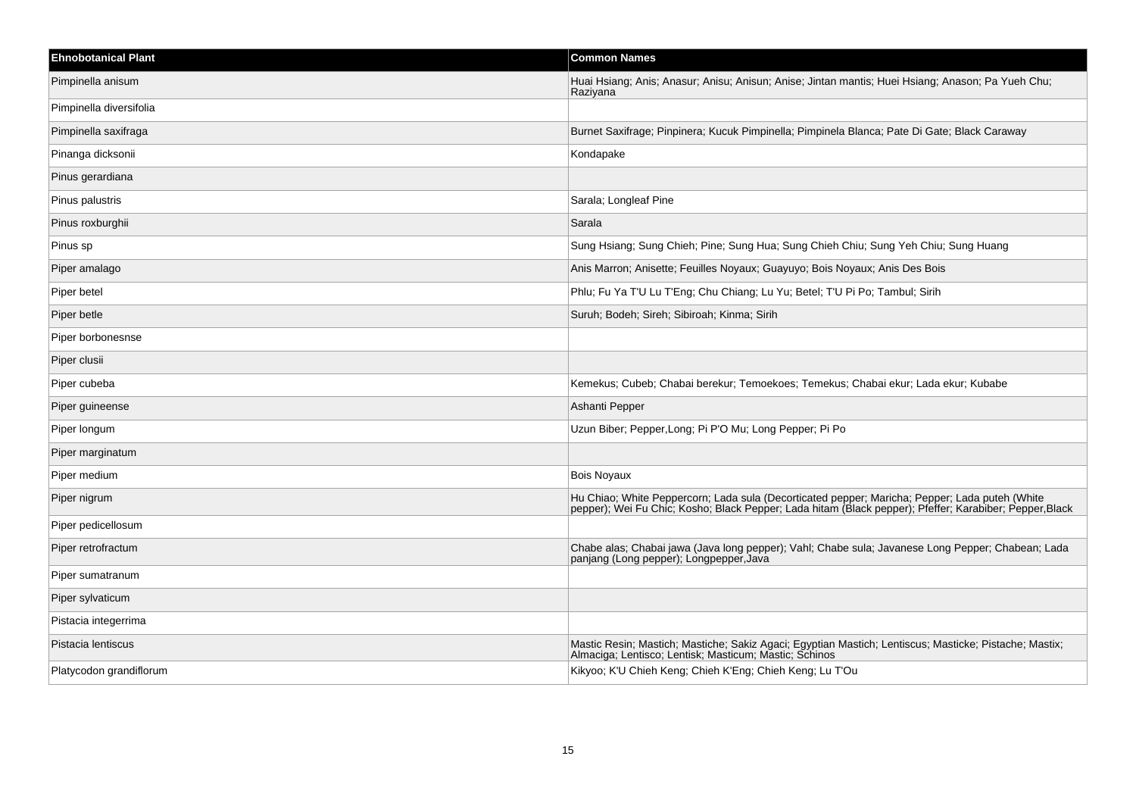| <b>Ehnobotanical Plant</b> | <b>Common Names</b>                                                                                                                                                                                      |
|----------------------------|----------------------------------------------------------------------------------------------------------------------------------------------------------------------------------------------------------|
| Pimpinella anisum          | Huai Hsiang; Anis; Anasur; Anisu; Anisun; Anise; Jintan mantis; Huei Hsiang; Anason; Pa Yueh Chu;<br>Raziyana                                                                                            |
| Pimpinella diversifolia    |                                                                                                                                                                                                          |
| Pimpinella saxifraga       | Burnet Saxifrage; Pinpinera; Kucuk Pimpinella; Pimpinela Blanca; Pate Di Gate; Black Caraway                                                                                                             |
| Pinanga dicksonii          | Kondapake                                                                                                                                                                                                |
| Pinus gerardiana           |                                                                                                                                                                                                          |
| Pinus palustris            | Sarala; Longleaf Pine                                                                                                                                                                                    |
| Pinus roxburghii           | Sarala                                                                                                                                                                                                   |
| Pinus sp                   | Sung Hsiang; Sung Chieh; Pine; Sung Hua; Sung Chieh Chiu; Sung Yeh Chiu; Sung Huang                                                                                                                      |
| Piper amalago              | Anis Marron; Anisette; Feuilles Noyaux; Guayuyo; Bois Noyaux; Anis Des Bois                                                                                                                              |
| Piper betel                | Phlu; Fu Ya T'U Lu T'Eng; Chu Chiang; Lu Yu; Betel; T'U Pi Po; Tambul; Sirih                                                                                                                             |
| Piper betle                | Suruh; Bodeh; Sireh; Sibiroah; Kinma; Sirih                                                                                                                                                              |
| Piper borbonesnse          |                                                                                                                                                                                                          |
| Piper clusii               |                                                                                                                                                                                                          |
| Piper cubeba               | Kemekus; Cubeb; Chabai berekur; Temoekoes; Temekus; Chabai ekur; Lada ekur; Kubabe                                                                                                                       |
| Piper guineense            | Ashanti Pepper                                                                                                                                                                                           |
| Piper longum               | Uzun Biber; Pepper, Long; Pi P'O Mu; Long Pepper; Pi Po                                                                                                                                                  |
| Piper marginatum           |                                                                                                                                                                                                          |
| Piper medium               | <b>Bois Novaux</b>                                                                                                                                                                                       |
| Piper nigrum               | Hu Chiao; White Peppercorn; Lada sula (Decorticated pepper; Maricha; Pepper; Lada puteh (White<br>pepper); Wei Fu Chic; Kosho; Black Pepper; Lada hitam (Black pepper); Pfeffer; Karabiber; Pepper,Black |
| Piper pedicellosum         |                                                                                                                                                                                                          |
| Piper retrofractum         | Chabe alas; Chabai jawa (Java long pepper); Vahl; Chabe sula; Javanese Long Pepper; Chabean; Lada<br>panjang (Long pepper); Longpepper, Java                                                             |
| Piper sumatranum           |                                                                                                                                                                                                          |
| Piper sylvaticum           |                                                                                                                                                                                                          |
| Pistacia integerrima       |                                                                                                                                                                                                          |
| Pistacia lentiscus         | Mastic Resin; Mastich; Mastiche; Sakiz Agaci; Egyptian Mastich; Lentiscus; Masticke; Pistache; Mastix;<br>Almaciga; Lentisco; Lentisk; Masticum; Mastic; Schinos                                         |
| Platycodon grandiflorum    | Kikyoo; K'U Chieh Keng; Chieh K'Eng; Chieh Keng; Lu T'Ou                                                                                                                                                 |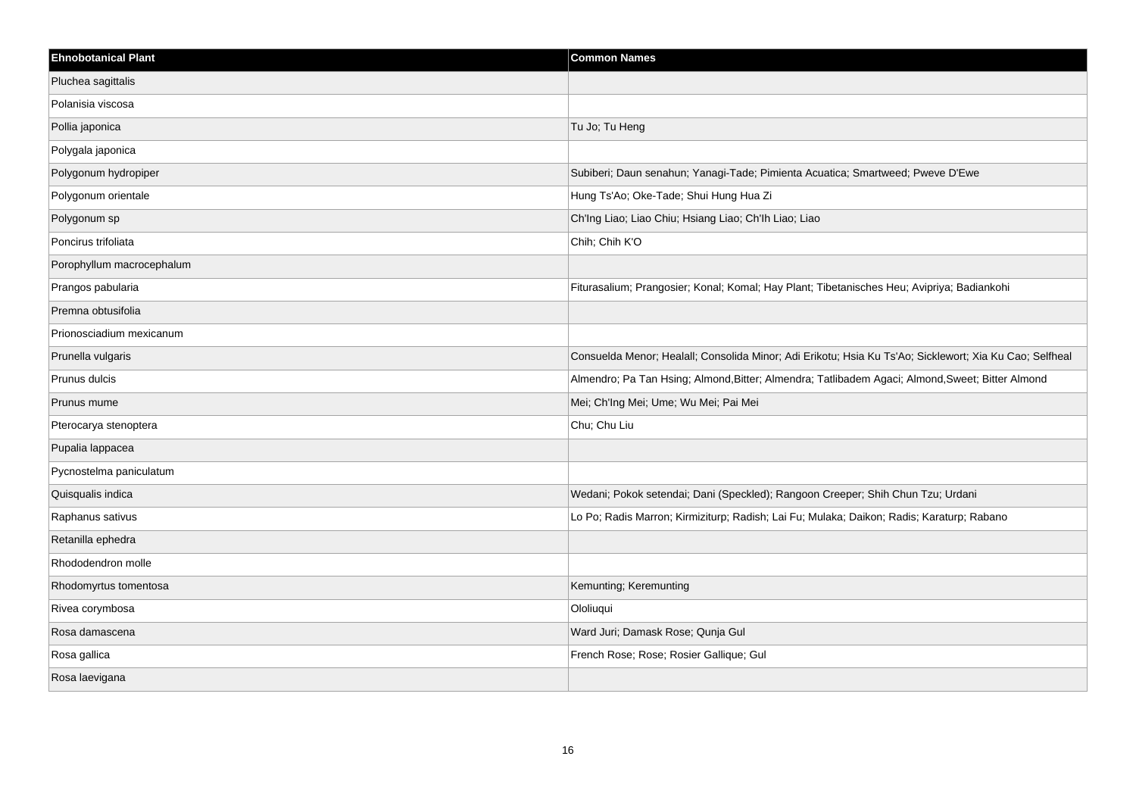| <b>Ehnobotanical Plant</b> | <b>Common Names</b>                                                                                     |
|----------------------------|---------------------------------------------------------------------------------------------------------|
| Pluchea sagittalis         |                                                                                                         |
| Polanisia viscosa          |                                                                                                         |
| Pollia japonica            | Tu Jo; Tu Heng                                                                                          |
| Polygala japonica          |                                                                                                         |
| Polygonum hydropiper       | Subiberi; Daun senahun; Yanagi-Tade; Pimienta Acuatica; Smartweed; Pweve D'Ewe                          |
| Polygonum orientale        | Hung Ts'Ao; Oke-Tade; Shui Hung Hua Zi                                                                  |
| Polygonum sp               | Ch'Ing Liao; Liao Chiu; Hsiang Liao; Ch'Ih Liao; Liao                                                   |
| Poncirus trifoliata        | Chih; Chih K'O                                                                                          |
| Porophyllum macrocephalum  |                                                                                                         |
| Prangos pabularia          | Fiturasalium; Prangosier; Konal; Komal; Hay Plant; Tibetanisches Heu; Avipriya; Badiankohi              |
| Premna obtusifolia         |                                                                                                         |
| Prionosciadium mexicanum   |                                                                                                         |
| Prunella vulgaris          | Consuelda Menor; Healall; Consolida Minor; Adi Erikotu; Hsia Ku Ts'Ao; Sicklewort; Xia Ku Cao; Selfheal |
| Prunus dulcis              | Almendro; Pa Tan Hsing; Almond, Bitter; Almendra; Tatlibadem Agaci; Almond, Sweet; Bitter Almond        |
| Prunus mume                | Mei; Ch'Ing Mei; Ume; Wu Mei; Pai Mei                                                                   |
| Pterocarya stenoptera      | Chu; Chu Liu                                                                                            |
| Pupalia lappacea           |                                                                                                         |
| Pycnostelma paniculatum    |                                                                                                         |
| Quisqualis indica          | Wedani; Pokok setendai; Dani (Speckled); Rangoon Creeper; Shih Chun Tzu; Urdani                         |
| Raphanus sativus           | Lo Po; Radis Marron; Kirmiziturp; Radish; Lai Fu; Mulaka; Daikon; Radis; Karaturp; Rabano               |
| Retanilla ephedra          |                                                                                                         |
| Rhododendron molle         |                                                                                                         |
| Rhodomyrtus tomentosa      | Kemunting; Keremunting                                                                                  |
| Rivea corymbosa            | Ololiuqui                                                                                               |
| Rosa damascena             | Ward Juri; Damask Rose; Qunja Gul                                                                       |
| Rosa gallica               | French Rose; Rose; Rosier Gallique; Gul                                                                 |
| Rosa laevigana             |                                                                                                         |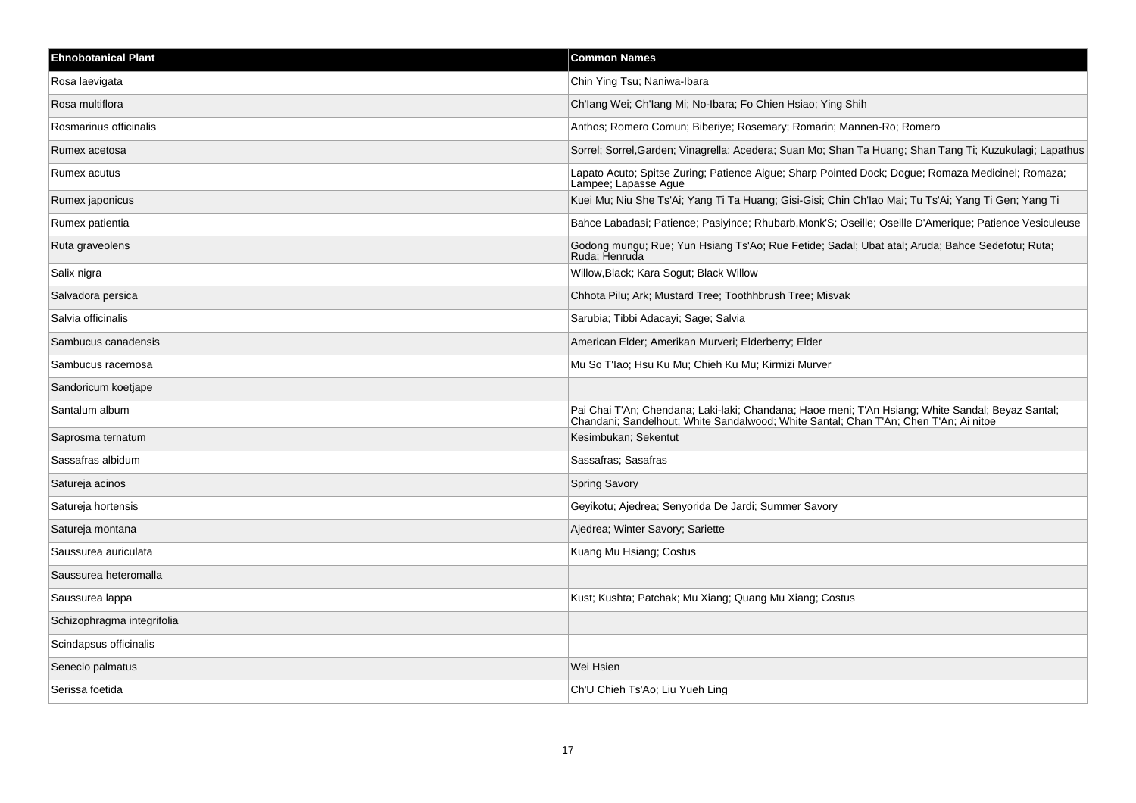| <b>Ehnobotanical Plant</b> | <b>Common Names</b>                                                                                                                                                                 |
|----------------------------|-------------------------------------------------------------------------------------------------------------------------------------------------------------------------------------|
| Rosa laevigata             | Chin Ying Tsu; Naniwa-Ibara                                                                                                                                                         |
| Rosa multiflora            | Ch'lang Wei; Ch'lang Mi; No-Ibara; Fo Chien Hsiao; Ying Shih                                                                                                                        |
| Rosmarinus officinalis     | Anthos; Romero Comun; Biberiye; Rosemary; Romarin; Mannen-Ro; Romero                                                                                                                |
| Rumex acetosa              | Sorrel; Sorrel, Garden; Vinagrella; Acedera; Suan Mo; Shan Ta Huang; Shan Tang Ti; Kuzukulagi; Lapathus                                                                             |
| Rumex acutus               | Lapato Acuto; Spitse Zuring; Patience Aigue; Sharp Pointed Dock; Dogue; Romaza Medicinel; Romaza;<br>Lampee; Lapasse Ague                                                           |
| Rumex japonicus            | Kuei Mu; Niu She Ts'Ai; Yang Ti Ta Huang; Gisi-Gisi; Chin Ch'lao Mai; Tu Ts'Ai; Yang Ti Gen; Yang Ti                                                                                |
| Rumex patientia            | Bahce Labadasi; Patience; Pasivince; Rhubarb, Monk'S; Oseille; Oseille D'Amerique; Patience Vesiculeuse                                                                             |
| Ruta graveolens            | Godong mungu; Rue; Yun Hsiang Ts'Ao; Rue Fetide; Sadal; Ubat atal; Aruda; Bahce Sedefotu; Ruta;<br>Ruda: Henruda                                                                    |
| Salix nigra                | Willow, Black; Kara Sogut; Black Willow                                                                                                                                             |
| Salvadora persica          | Chhota Pilu; Ark; Mustard Tree; Toothhbrush Tree; Misvak                                                                                                                            |
| Salvia officinalis         | Sarubia; Tibbi Adacayi; Sage; Salvia                                                                                                                                                |
| Sambucus canadensis        | American Elder; Amerikan Murveri; Elderberry; Elder                                                                                                                                 |
| Sambucus racemosa          | Mu So T'Iao; Hsu Ku Mu; Chieh Ku Mu; Kirmizi Murver                                                                                                                                 |
| Sandoricum koetjape        |                                                                                                                                                                                     |
| Santalum album             | Pai Chai T'An; Chendana; Laki-laki; Chandana; Haoe meni; T'An Hsiang; White Sandal; Beyaz Santal; Chandani; Sandelhout; White Sandalwood; White Santal; Chandi, Chan T'An; Ai nitoe |
| Saprosma ternatum          | Kesimbukan; Sekentut                                                                                                                                                                |
| Sassafras albidum          | Sassafras; Sasafras                                                                                                                                                                 |
| Satureja acinos            | <b>Spring Savory</b>                                                                                                                                                                |
| Satureja hortensis         | Geyikotu; Ajedrea; Senyorida De Jardi; Summer Savory                                                                                                                                |
| Satureja montana           | Ajedrea, Winter Savory; Sariette                                                                                                                                                    |
| Saussurea auriculata       | Kuang Mu Hsiang; Costus                                                                                                                                                             |
| Saussurea heteromalla      |                                                                                                                                                                                     |
| Saussurea lappa            | Kust; Kushta; Patchak; Mu Xiang; Quang Mu Xiang; Costus                                                                                                                             |
| Schizophragma integrifolia |                                                                                                                                                                                     |
| Scindapsus officinalis     |                                                                                                                                                                                     |
| Senecio palmatus           | Wei Hsien                                                                                                                                                                           |
| Serissa foetida            | Ch'U Chieh Ts'Ao; Liu Yueh Ling                                                                                                                                                     |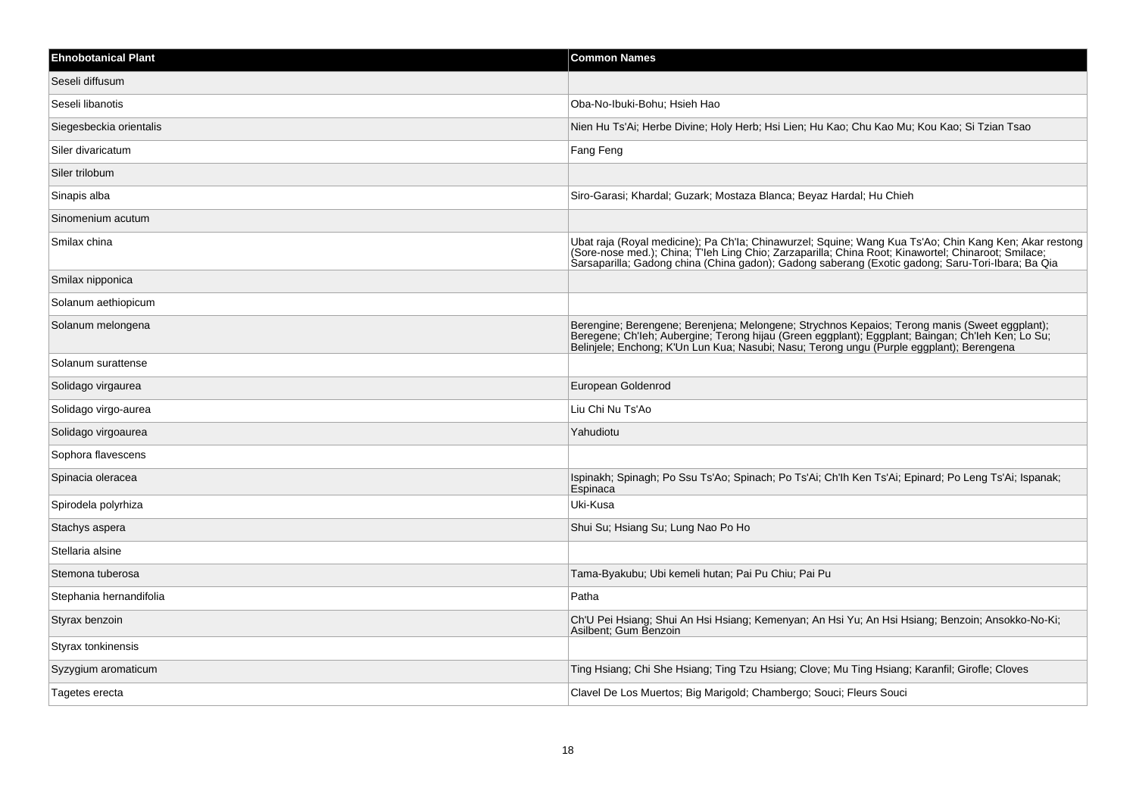| <b>Ehnobotanical Plant</b> | <b>Common Names</b>                                                                                                                                                                                                                                                                                                |
|----------------------------|--------------------------------------------------------------------------------------------------------------------------------------------------------------------------------------------------------------------------------------------------------------------------------------------------------------------|
| Seseli diffusum            |                                                                                                                                                                                                                                                                                                                    |
| Seseli libanotis           | Oba-No-Ibuki-Bohu; Hsieh Hao                                                                                                                                                                                                                                                                                       |
| Siegesbeckia orientalis    | Nien Hu Ts'Ai; Herbe Divine; Holy Herb; Hsi Lien; Hu Kao; Chu Kao Mu; Kou Kao; Si Tzian Tsao                                                                                                                                                                                                                       |
| Siler divaricatum          | Fang Feng                                                                                                                                                                                                                                                                                                          |
| Siler trilobum             |                                                                                                                                                                                                                                                                                                                    |
| Sinapis alba               | Siro-Garasi; Khardal; Guzark; Mostaza Blanca; Beyaz Hardal; Hu Chieh                                                                                                                                                                                                                                               |
| Sinomenium acutum          |                                                                                                                                                                                                                                                                                                                    |
| Smilax china               | Ubat raja (Royal medicine); Pa Ch'la; Chinawurzel; Squine; Wang Kua Ts'Ao; Chin Kang Ken; Akar restong<br>(Sore-nose med.); China; T'leh Ling Chio; Zarzaparilla; China Root; Kinawortel; Chinaroot; Smilace;<br>Sarsaparilla; Gadong china (China gadon); Gadong saberang (Exotic gadong; Saru-Tori-Ibara; Ba Qia |
| Smilax nipponica           |                                                                                                                                                                                                                                                                                                                    |
| Solanum aethiopicum        |                                                                                                                                                                                                                                                                                                                    |
| Solanum melongena          | Berengine; Berengene; Berenjena; Melongene; Strychnos Kepaios; Terong manis (Sweet eggplant);<br>Beregene; Ch'leh; Aubergine; Terong hijau (Green eggplant); Eggplant; Baingan; Ch'leh Ken; Lo Su;<br>Belinjele; Enchong; K'Un Lun Kua; Nasubi; Nasu; Terong ungu (Purple eggplant); Berengena                     |
| Solanum surattense         |                                                                                                                                                                                                                                                                                                                    |
| Solidago virgaurea         | European Goldenrod                                                                                                                                                                                                                                                                                                 |
| Solidago virgo-aurea       | Liu Chi Nu Ts'Ao                                                                                                                                                                                                                                                                                                   |
| Solidago virgoaurea        | Yahudiotu                                                                                                                                                                                                                                                                                                          |
| Sophora flavescens         |                                                                                                                                                                                                                                                                                                                    |
| Spinacia oleracea          | Ispinakh; Spinagh; Po Ssu Ts'Ao; Spinach; Po Ts'Ai; Ch'lh Ken Ts'Ai; Epinard; Po Leng Ts'Ai; Ispanak;<br>Espinaca                                                                                                                                                                                                  |
| Spirodela polyrhiza        | Uki-Kusa                                                                                                                                                                                                                                                                                                           |
| Stachys aspera             | Shui Su; Hsiang Su; Lung Nao Po Ho                                                                                                                                                                                                                                                                                 |
| Stellaria alsine           |                                                                                                                                                                                                                                                                                                                    |
| Stemona tuberosa           | Tama-Byakubu; Ubi kemeli hutan; Pai Pu Chiu; Pai Pu                                                                                                                                                                                                                                                                |
| Stephania hernandifolia    | Patha                                                                                                                                                                                                                                                                                                              |
| Styrax benzoin             | Ch'U Pei Hsiang; Shui An Hsi Hsiang; Kemenyan; An Hsi Yu; An Hsi Hsiang; Benzoin; Ansokko-No-Ki;<br>Asilbent; Gum Benzoin                                                                                                                                                                                          |
| Styrax tonkinensis         |                                                                                                                                                                                                                                                                                                                    |
| Syzygium aromaticum        | Ting Hsiang; Chi She Hsiang; Ting Tzu Hsiang; Clove; Mu Ting Hsiang; Karanfil; Girofle; Cloves                                                                                                                                                                                                                     |
| Tagetes erecta             | Clavel De Los Muertos; Big Marigold; Chambergo; Souci; Fleurs Souci                                                                                                                                                                                                                                                |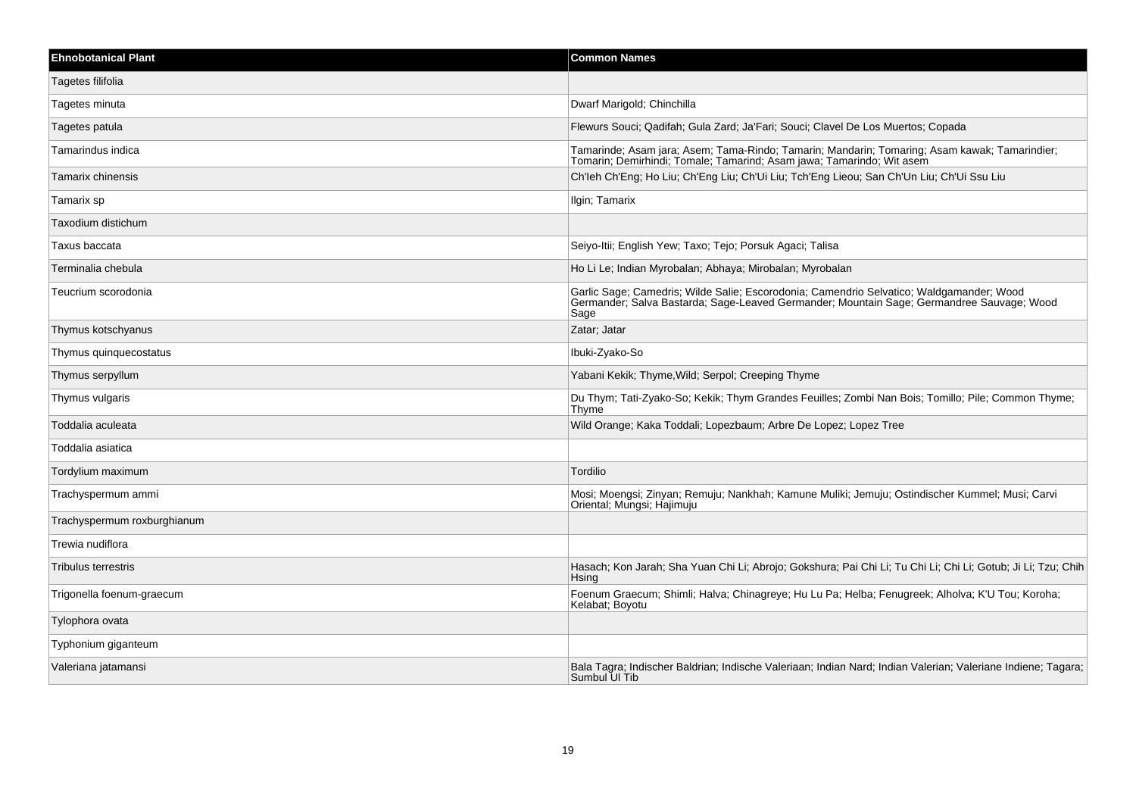| <b>Ehnobotanical Plant</b>  | <b>Common Names</b>                                                                                                                                                                           |
|-----------------------------|-----------------------------------------------------------------------------------------------------------------------------------------------------------------------------------------------|
| Tagetes filifolia           |                                                                                                                                                                                               |
| Tagetes minuta              | Dwarf Marigold; Chinchilla                                                                                                                                                                    |
| Tagetes patula              | Flewurs Souci; Qadifah; Gula Zard; Ja'Fari; Souci; Clavel De Los Muertos; Copada                                                                                                              |
| Tamarindus indica           | Tamarinde; Asam jara; Asem; Tama-Rindo; Tamarin; Mandarin; Tomaring; Asam kawak; Tamarindier;<br>Tomarin, Demirhindi, Tomale, Tamarind, Asam jawa, Tamarindo, Wit asem                        |
| Tamarix chinensis           | Ch'leh Ch'Eng; Ho Liu; Ch'Eng Liu; Ch'Ui Liu; Tch'Eng Lieou; San Ch'Un Liu; Ch'Ui Ssu Liu                                                                                                     |
| Tamarix sp                  | Ilgin; Tamarix                                                                                                                                                                                |
| Taxodium distichum          |                                                                                                                                                                                               |
| Taxus baccata               | Seiyo-Itii; English Yew; Taxo; Tejo; Porsuk Agaci; Talisa                                                                                                                                     |
| Terminalia chebula          | Ho Li Le; Indian Myrobalan; Abhaya; Mirobalan; Myrobalan                                                                                                                                      |
| Teucrium scorodonia         | Garlic Sage; Camedris; Wilde Salie; Escorodonia; Camendrio Selvatico; Waldgamander; Wood<br>Germander; Salva Bastarda; Sage-Leaved Germander; Mountain Sage; Germandree Sauvage; Wood<br>Sage |
| Thymus kotschyanus          | Zatar; Jatar                                                                                                                                                                                  |
| Thymus quinquecostatus      | Ibuki-Zyako-So                                                                                                                                                                                |
| Thymus serpyllum            | Yabani Kekik; Thyme, Wild; Serpol; Creeping Thyme                                                                                                                                             |
| Thymus vulgaris             | Du Thym; Tati-Zyako-So; Kekik; Thym Grandes Feuilles; Zombi Nan Bois; Tomillo; Pile; Common Thyme;<br>Thyme                                                                                   |
| Toddalia aculeata           | Wild Orange; Kaka Toddali; Lopezbaum; Arbre De Lopez; Lopez Tree                                                                                                                              |
| Toddalia asiatica           |                                                                                                                                                                                               |
| Tordylium maximum           | Tordilio                                                                                                                                                                                      |
| Trachyspermum ammi          | Mosi; Moengsi; Zinyan; Remuju; Nankhah; Kamune Muliki; Jemuju; Ostindischer Kummel; Musi; Carvi<br>Oriental; Mungsi; Hajimuju                                                                 |
| Trachyspermum roxburghianum |                                                                                                                                                                                               |
| Trewia nudiflora            |                                                                                                                                                                                               |
| <b>Tribulus terrestris</b>  | Hasach; Kon Jarah; Sha Yuan Chi Li; Abrojo; Gokshura; Pai Chi Li; Tu Chi Li; Chi Li; Gotub; Ji Li; Tzu; Chih<br>Hsina                                                                         |
| Trigonella foenum-graecum   | Foenum Graecum; Shimli; Halva; Chinagreye; Hu Lu Pa; Helba; Fenugreek; Alholva; K'U Tou; Koroha;<br>Kelabat; Boyotu                                                                           |
| Tylophora ovata             |                                                                                                                                                                                               |
| Typhonium giganteum         |                                                                                                                                                                                               |
| Valeriana jatamansi         | Bala Tagra; Indischer Baldrian; Indische Valeriaan; Indian Nard; Indian Valerian; Valeriane Indiene; Tagara;<br>Sumbul UI Tib                                                                 |